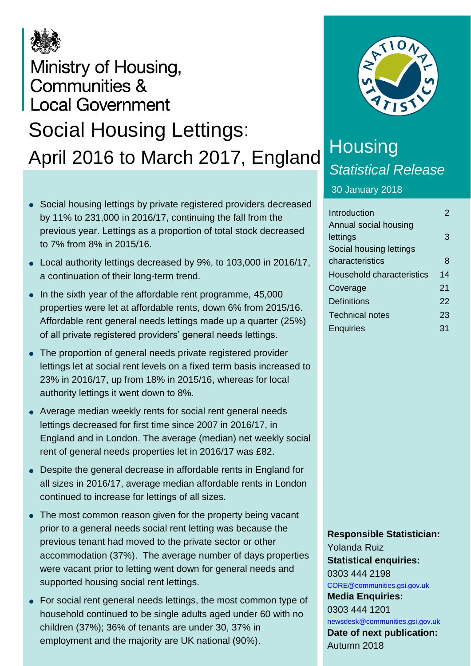

## Ministry of Housing, **Communities & Local Government** Social Housing Lettings: April 2016 to March 2017, England

- Social housing lettings by private registered providers decreased by 11% to 231,000 in 2016/17, continuing the fall from the previous year. Lettings as a proportion of total stock decreased to 7% from 8% in 2015/16.
- Local authority lettings decreased by 9%, to 103,000 in 2016/17, a continuation of their long-term trend.
- $\bullet$  In the sixth year of the affordable rent programme, 45,000 properties were let at affordable rents, down 6% from 2015/16. Affordable rent general needs lettings made up a quarter (25%) of all private registered providers' general needs lettings.
- The proportion of general needs private registered provider lettings let at social rent levels on a fixed term basis increased to 23% in 2016/17, up from 18% in 2015/16, whereas for local authority lettings it went down to 8%.
- Average median weekly rents for social rent general needs lettings decreased for first time since 2007 in 2016/17, in England and in London. The average (median) net weekly social rent of general needs properties let in 2016/17 was £82.
- Despite the general decrease in affordable rents in England for all sizes in 2016/17, average median affordable rents in London continued to increase for lettings of all sizes.
- The most common reason given for the property being vacant prior to a general needs social rent letting was because the previous tenant had moved to the private sector or other accommodation (37%). The average number of days properties were vacant prior to letting went down for general needs and supported housing social rent lettings.
- For social rent general needs lettings, the most common type of household continued to be single adults aged under 60 with no children (37%); 36% of tenants are under 30, 37% in employment and the majority are UK national (90%).



# **Housing** *Statistical Release*

30 January 2018

| $\mathcal{P}$ |
|---------------|
|               |
| 3             |
|               |
| 8             |
| 14            |
| 21            |
| 22            |
| 23            |
| 31            |
|               |

**Responsible Statistician:** Yolanda Ruiz **Statistical enquiries:** 0303 444 2198 [CORE@communities.gsi.gov.uk](mailto:CORE@communities.gsi.gov.uk) **Media Enquiries:** 0303 444 1201 [newsdesk@communities.gsi.gov.uk](mailto:newsdesk@communities.gsi.gov.uk) **Date of next publication:** Autumn 2018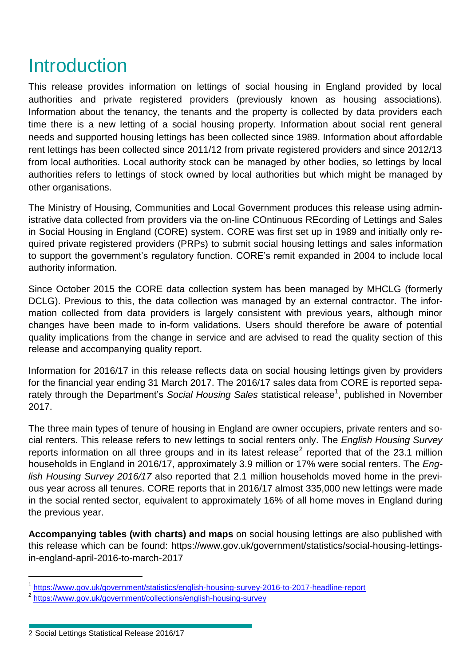## Introduction

This release provides information on lettings of social housing in England provided by local authorities and private registered providers (previously known as housing associations). Information about the tenancy, the tenants and the property is collected by data providers each time there is a new letting of a social housing property. Information about social rent general needs and supported housing lettings has been collected since 1989. Information about affordable rent lettings has been collected since 2011/12 from private registered providers and since 2012/13 from local authorities. Local authority stock can be managed by other bodies, so lettings by local authorities refers to lettings of stock owned by local authorities but which might be managed by other organisations.

The Ministry of Housing, Communities and Local Government produces this release using administrative data collected from providers via the on-line COntinuous REcording of Lettings and Sales in Social Housing in England (CORE) system. CORE was first set up in 1989 and initially only required private registered providers (PRPs) to submit social housing lettings and sales information to support the government's regulatory function. CORE's remit expanded in 2004 to include local authority information.

Since October 2015 the CORE data collection system has been managed by MHCLG (formerly DCLG). Previous to this, the data collection was managed by an external contractor. The information collected from data providers is largely consistent with previous years, although minor changes have been made to in-form validations. Users should therefore be aware of potential quality implications from the change in service and are advised to read the quality section of this release and accompanying quality report.

Information for 2016/17 in this release reflects data on social housing lettings given by providers for the financial year ending 31 March 2017. The 2016/17 sales data from CORE is reported separately through the Department's Social Housing Sales statistical release<sup>1</sup>, published in November 2017.

The three main types of tenure of housing in England are owner occupiers, private renters and social renters. This release refers to new lettings to social renters only. The *English Housing Survey* reports information on all three groups and in its latest release<sup>2</sup> reported that of the 23.1 million households in England in 2016/17, approximately 3.9 million or 17% were social renters. The *English Housing Survey 2016/17* also reported that 2.1 million households moved home in the previous year across all tenures. CORE reports that in 2016/17 almost 335,000 new lettings were made in the social rented sector, equivalent to approximately 16% of all home moves in England during the previous year.

**Accompanying tables (with charts) and maps** on social housing lettings are also published with this release which can be found: https://www.gov.uk/government/statistics/social-housing-lettingsin-england-april-2016-to-march-2017

<sup>1</sup> <https://www.gov.uk/government/statistics/english-housing-survey-2016-to-2017-headline-report>

<sup>&</sup>lt;sup>2</sup> <https://www.gov.uk/government/collections/english-housing-survey>

<sup>2</sup> Social Lettings Statistical Release 2016/17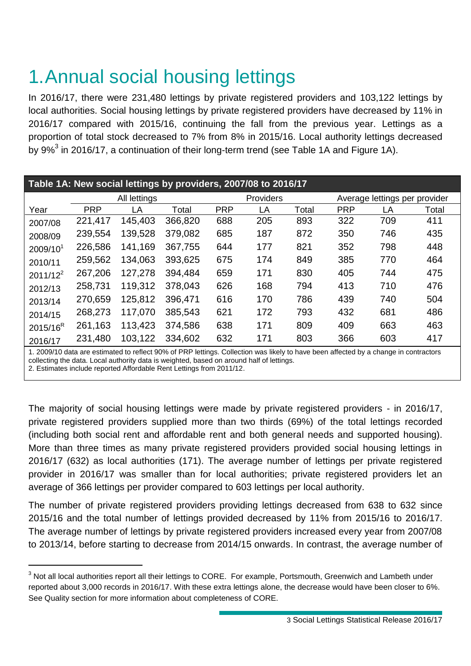# 1.Annual social housing lettings

In 2016/17, there were 231,480 lettings by private registered providers and 103,122 lettings by local authorities. Social housing lettings by private registered providers have decreased by 11% in 2016/17 compared with 2015/16, continuing the fall from the previous year. Lettings as a proportion of total stock decreased to 7% from 8% in 2015/16. Local authority lettings decreased by 9%<sup>3</sup> in 2016/17, a continuation of their long-term trend (see Table 1A and Figure 1A).

| Table 1A: New social lettings by providers, 2007/08 to 2016/17 |            |              |         |            |           |       |            |                               |       |  |  |
|----------------------------------------------------------------|------------|--------------|---------|------------|-----------|-------|------------|-------------------------------|-------|--|--|
|                                                                |            | All lettings |         |            | Providers |       |            | Average lettings per provider |       |  |  |
| Year                                                           | <b>PRP</b> | LA           | Total   | <b>PRP</b> | LA        | Total | <b>PRP</b> | LA                            | Total |  |  |
| 2007/08                                                        | 221,417    | 145,403      | 366,820 | 688        | 205       | 893   | 322        | 709                           | 411   |  |  |
| 2008/09                                                        | 239,554    | 139,528      | 379,082 | 685        | 187       | 872   | 350        | 746                           | 435   |  |  |
| 2009/10 <sup>1</sup>                                           | 226,586    | 141,169      | 367,755 | 644        | 177       | 821   | 352        | 798                           | 448   |  |  |
| 2010/11                                                        | 259,562    | 134,063      | 393,625 | 675        | 174       | 849   | 385        | 770                           | 464   |  |  |
| $2011/12^2$                                                    | 267,206    | 127,278      | 394,484 | 659        | 171       | 830   | 405        | 744                           | 475   |  |  |
| 2012/13                                                        | 258,731    | 119,312      | 378,043 | 626        | 168       | 794   | 413        | 710                           | 476   |  |  |
| 2013/14                                                        | 270,659    | 125,812      | 396,471 | 616        | 170       | 786   | 439        | 740                           | 504   |  |  |
| 2014/15                                                        | 268,273    | 117,070      | 385,543 | 621        | 172       | 793   | 432        | 681                           | 486   |  |  |
| $2015/16^R$                                                    | 261,163    | 113,423      | 374,586 | 638        | 171       | 809   | 409        | 663                           | 463   |  |  |
| 2016/17                                                        | 231,480    | 103,122      | 334,602 | 632        | 171       | 803   | 366        | 603                           | 417   |  |  |

1. 2009/10 data are estimated to reflect 90% of PRP lettings. Collection was likely to have been affected by a change in contractors collecting the data. Local authority data is weighted, based on around half of lettings.

2. Estimates include reported Affordable Rent Lettings from 2011/12.

1

The majority of social housing lettings were made by private registered providers - in 2016/17, private registered providers supplied more than two thirds (69%) of the total lettings recorded (including both social rent and affordable rent and both general needs and supported housing). More than three times as many private registered providers provided social housing lettings in 2016/17 (632) as local authorities (171). The average number of lettings per private registered provider in 2016/17 was smaller than for local authorities; private registered providers let an average of 366 lettings per provider compared to 603 lettings per local authority.

The number of private registered providers providing lettings decreased from 638 to 632 since 2015/16 and the total number of lettings provided decreased by 11% from 2015/16 to 2016/17. The average number of lettings by private registered providers increased every year from 2007/08 to 2013/14, before starting to decrease from 2014/15 onwards. In contrast, the average number of

<sup>&</sup>lt;sup>3</sup> Not all local authorities report all their lettings to CORE. For example, Portsmouth, Greenwich and Lambeth under reported about 3,000 records in 2016/17. With these extra lettings alone, the decrease would have been closer to 6%. See Quality section for more information about completeness of CORE.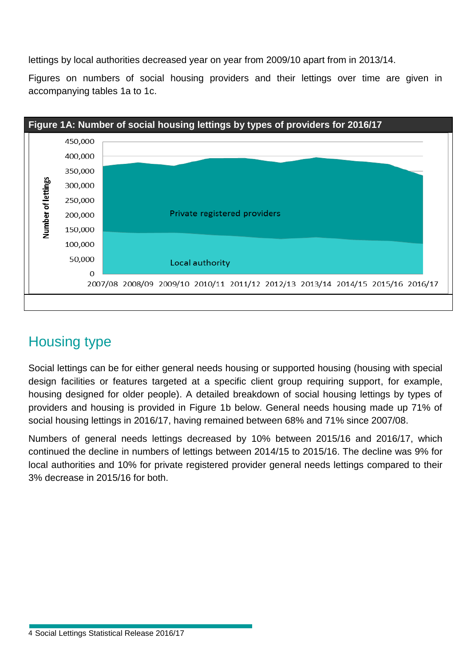lettings by local authorities decreased year on year from 2009/10 apart from in 2013/14.

Figures on numbers of social housing providers and their lettings over time are given in accompanying tables 1a to 1c.



## Housing type

Social lettings can be for either general needs housing or supported housing (housing with special design facilities or features targeted at a specific client group requiring support, for example, housing designed for older people). A detailed breakdown of social housing lettings by types of providers and housing is provided in Figure 1b below. General needs housing made up 71% of social housing lettings in 2016/17, having remained between 68% and 71% since 2007/08.

Numbers of general needs lettings decreased by 10% between 2015/16 and 2016/17, which continued the decline in numbers of lettings between 2014/15 to 2015/16. The decline was 9% for local authorities and 10% for private registered provider general needs lettings compared to their 3% decrease in 2015/16 for both.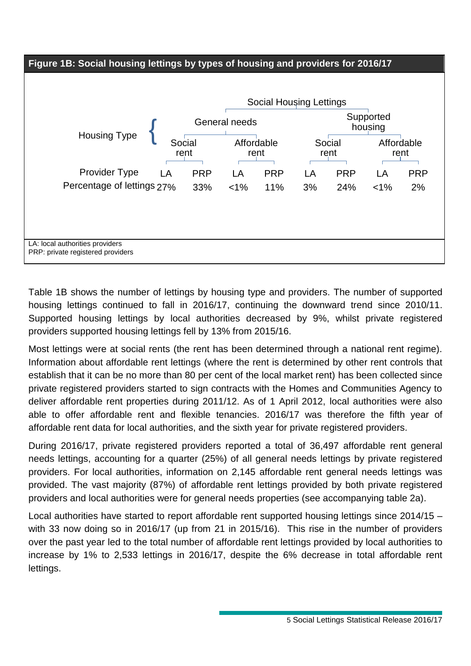

Table 1B shows the number of lettings by housing type and providers. The number of supported housing lettings continued to fall in 2016/17, continuing the downward trend since 2010/11. Supported housing lettings by local authorities decreased by 9%, whilst private registered providers supported housing lettings fell by 13% from 2015/16.

Most lettings were at social rents (the rent has been determined through a national rent regime). Information about affordable rent lettings (where the rent is determined by other rent controls that establish that it can be no more than 80 per cent of the local market rent) has been collected since private registered providers started to sign contracts with the Homes and Communities Agency to deliver affordable rent properties during 2011/12. As of 1 April 2012, local authorities were also able to offer affordable rent and flexible tenancies. 2016/17 was therefore the fifth year of affordable rent data for local authorities, and the sixth year for private registered providers.

During 2016/17, private registered providers reported a total of 36,497 affordable rent general needs lettings, accounting for a quarter (25%) of all general needs lettings by private registered providers. For local authorities, information on 2,145 affordable rent general needs lettings was provided. The vast majority (87%) of affordable rent lettings provided by both private registered providers and local authorities were for general needs properties (see accompanying table 2a).

Local authorities have started to report affordable rent supported housing lettings since 2014/15 – with 33 now doing so in 2016/17 (up from 21 in 2015/16). This rise in the number of providers over the past year led to the total number of affordable rent lettings provided by local authorities to increase by 1% to 2,533 lettings in 2016/17, despite the 6% decrease in total affordable rent lettings.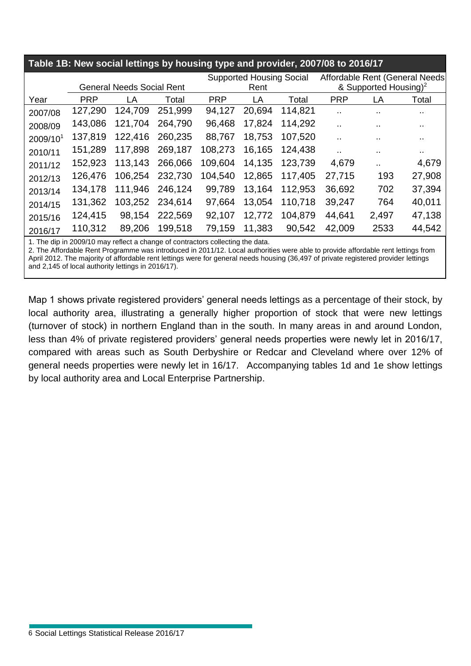| Table 1B: New social lettings by housing type and provider, 2007/08 to 2016/17 |            |                                  |         |            |                                         |         |                                                                      |                      |        |  |  |
|--------------------------------------------------------------------------------|------------|----------------------------------|---------|------------|-----------------------------------------|---------|----------------------------------------------------------------------|----------------------|--------|--|--|
|                                                                                |            | <b>General Needs Social Rent</b> |         |            | <b>Supported Housing Social</b><br>Rent |         | Affordable Rent (General Needs)<br>& Supported Housing) <sup>2</sup> |                      |        |  |  |
| Year                                                                           | <b>PRP</b> | LA                               | Total   | <b>PRP</b> | LA                                      | Total   | <b>PRP</b>                                                           |                      | Total  |  |  |
|                                                                                |            |                                  |         |            |                                         |         |                                                                      | LA                   |        |  |  |
| 2007/08                                                                        | 127,290    | 124,709                          | 251,999 | 94,127     | 20,694                                  | 114,821 | $\ddot{\phantom{a}}$                                                 | $\sim$               | . .    |  |  |
| 2008/09                                                                        | 143,086    | 121,704                          | 264,790 | 96,468     | 17,824                                  | 114,292 |                                                                      | $\sim$               | $\sim$ |  |  |
| 2009/10 <sup>1</sup>                                                           | 137,819    | 122,416                          | 260,235 | 88,767     | 18,753                                  | 107,520 |                                                                      |                      | $\sim$ |  |  |
| 2010/11                                                                        | 151,289    | 117,898                          | 269,187 | 108,273    | 16,165                                  | 124,438 | . .                                                                  | . .                  | $\sim$ |  |  |
| 2011/12                                                                        | 152,923    | 113,143                          | 266,066 | 109,604    | 14,135                                  | 123,739 | 4,679                                                                | $\ddot{\phantom{a}}$ | 4,679  |  |  |
| 2012/13                                                                        | 126,476    | 106,254                          | 232,730 | 104,540    | 12,865                                  | 117,405 | 27,715                                                               | 193                  | 27,908 |  |  |
| 2013/14                                                                        | 134,178    | 111,946                          | 246,124 | 99,789     | 13,164                                  | 112,953 | 36,692                                                               | 702                  | 37,394 |  |  |
| 2014/15                                                                        | 131,362    | 103,252                          | 234,614 | 97,664     | 13,054                                  | 110,718 | 39,247                                                               | 764                  | 40,011 |  |  |
| 2015/16                                                                        | 124,415    | 98,154                           | 222,569 | 92,107     | 12,772                                  | 104,879 | 44,641                                                               | 2,497                | 47,138 |  |  |
| 2016/17                                                                        | 110,312    | 89,206                           | 199,518 | 79,159     | 11,383                                  | 90,542  | 42,009                                                               | 2533                 | 44,542 |  |  |

1. The dip in 2009/10 may reflect a change of contractors collecting the data.

2. The Affordable Rent Programme was introduced in 2011/12. Local authorities were able to provide affordable rent lettings from April 2012. The majority of affordable rent lettings were for general needs housing (36,497 of private registered provider lettings and 2,145 of local authority lettings in 2016/17).

Map 1 shows private registered providers' general needs lettings as a percentage of their stock, by local authority area, illustrating a generally higher proportion of stock that were new lettings (turnover of stock) in northern England than in the south. In many areas in and around London, less than 4% of private registered providers' general needs properties were newly let in 2016/17, compared with areas such as South Derbyshire or Redcar and Cleveland where over 12% of general needs properties were newly let in 16/17. Accompanying tables 1d and 1e show lettings by local authority area and Local Enterprise Partnership.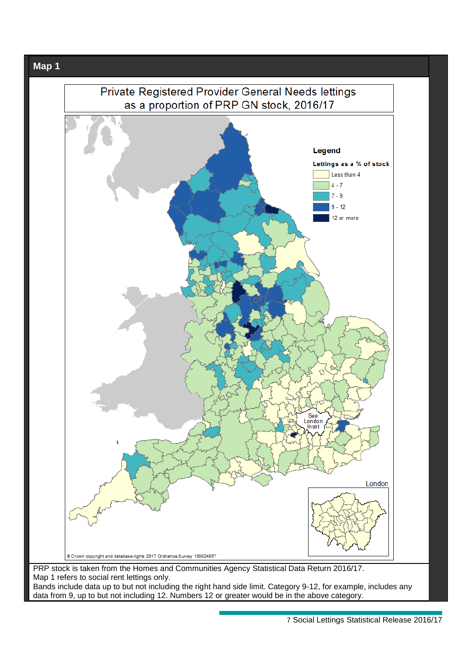

data from 9, up to but not including 12. Numbers 12 or greater would be in the above category.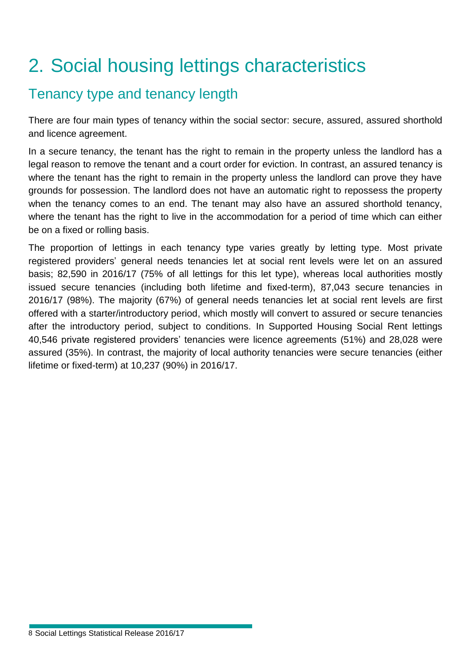# 2. Social housing lettings characteristics

## Tenancy type and tenancy length

There are four main types of tenancy within the social sector: secure, assured, assured shorthold and licence agreement.

In a secure tenancy, the tenant has the right to remain in the property unless the landlord has a legal reason to remove the tenant and a court order for eviction. In contrast, an assured tenancy is where the tenant has the right to remain in the property unless the landlord can prove they have grounds for possession. The landlord does not have an automatic right to repossess the property when the tenancy comes to an end. The tenant may also have an assured shorthold tenancy, where the tenant has the right to live in the accommodation for a period of time which can either be on a fixed or rolling basis.

The proportion of lettings in each tenancy type varies greatly by letting type. Most private registered providers' general needs tenancies let at social rent levels were let on an assured basis; 82,590 in 2016/17 (75% of all lettings for this let type), whereas local authorities mostly issued secure tenancies (including both lifetime and fixed-term), 87,043 secure tenancies in 2016/17 (98%). The majority (67%) of general needs tenancies let at social rent levels are first offered with a starter/introductory period, which mostly will convert to assured or secure tenancies after the introductory period, subject to conditions. In Supported Housing Social Rent lettings 40,546 private registered providers' tenancies were licence agreements (51%) and 28,028 were assured (35%). In contrast, the majority of local authority tenancies were secure tenancies (either lifetime or fixed-term) at 10,237 (90%) in 2016/17.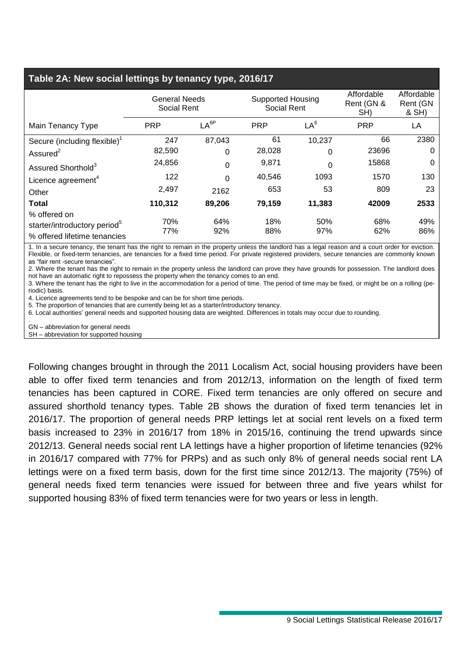#### **Table 2A: New social lettings by tenancy type, 2016/17**

|                                                                                          | <b>General Needs</b><br>Social Rent |            | <b>Supported Housing</b><br>Social Rent |            | Affordable<br>Rent (GN &<br>SH) | Affordable<br>Rent (GN<br>& SH) |    |
|------------------------------------------------------------------------------------------|-------------------------------------|------------|-----------------------------------------|------------|---------------------------------|---------------------------------|----|
| Main Tenancy Type                                                                        | LA <sup>6P</sup><br><b>PRP</b>      |            | LA <sup>6</sup><br><b>PRP</b>           |            |                                 | <b>PRP</b>                      | LA |
| Secure (including flexible) <sup>1</sup>                                                 | 247                                 | 87,043     | 61                                      | 10,237     | 66                              | 2380                            |    |
| Assured $2$                                                                              | 82,590                              | 0          | 28,028                                  | 0          | 23696                           | 0                               |    |
| Assured Shorthold <sup>3</sup>                                                           | 24,856                              | 0          | 9,871                                   | $\Omega$   | 15868                           | 0                               |    |
| Licence agreement <sup>4</sup>                                                           | 122                                 | $\Omega$   | 40,546                                  | 1093       | 1570                            | 130                             |    |
| Other                                                                                    | 2,497                               | 2162       | 653                                     | 53         | 809                             | 23                              |    |
| <b>Total</b>                                                                             | 110,312                             | 89,206     | 79,159                                  | 11,383     | 42009                           | 2533                            |    |
| % offered on<br>starter/introductory period <sup>5</sup><br>% offered lifetime tenancies | 70%<br>77%                          | 64%<br>92% | 18%<br>88%                              | 50%<br>97% | 68%<br>62%                      | 49%<br>86%                      |    |

1. In a secure tenancy, the tenant has the right to remain in the property unless the landlord has a legal reason and a court order for eviction. Flexible, or fixed-term tenancies, are tenancies for a fixed time period. For private registered providers, secure tenancies are commonly known as "fair rent -secure tenancies".

2. Where the tenant has the right to remain in the property unless the landlord can prove they have grounds for possession. The landlord does not have an automatic right to repossess the property when the tenancy comes to an end.

3. Where the tenant has the right to live in the accommodation for a period of time. The period of time may be fixed, or might be on a rolling (periodic) basis.

4. Licence agreements tend to be bespoke and can be for short time periods.

5. The proportion of tenancies that are currently being let as a starter/introductory tenancy.

6. Local authorities' general needs and supported housing data are weighted. Differences in totals may occur due to rounding.

. GN – abbreviation for general needs

SH – abbreviation for supported housing

Following changes brought in through the 2011 Localism Act, social housing providers have been able to offer fixed term tenancies and from 2012/13, information on the length of fixed term tenancies has been captured in CORE. Fixed term tenancies are only offered on secure and assured shorthold tenancy types. Table 2B shows the duration of fixed term tenancies let in 2016/17. The proportion of general needs PRP lettings let at social rent levels on a fixed term basis increased to 23% in 2016/17 from 18% in 2015/16, continuing the trend upwards since 2012/13. General needs social rent LA lettings have a higher proportion of lifetime tenancies (92% in 2016/17 compared with 77% for PRPs) and as such only 8% of general needs social rent LA lettings were on a fixed term basis, down for the first time since 2012/13. The majority (75%) of general needs fixed term tenancies were issued for between three and five years whilst for supported housing 83% of fixed term tenancies were for two years or less in length.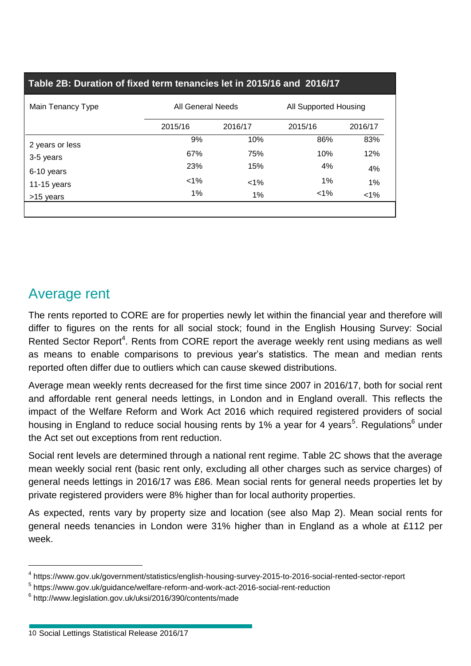| Table 2B: Duration of fixed term tenancies let in 2015/16 and 2016/17 |                                                   |         |         |         |  |  |  |  |  |  |
|-----------------------------------------------------------------------|---------------------------------------------------|---------|---------|---------|--|--|--|--|--|--|
| Main Tenancy Type                                                     | <b>All General Needs</b><br>All Supported Housing |         |         |         |  |  |  |  |  |  |
|                                                                       | 2015/16                                           | 2016/17 | 2015/16 | 2016/17 |  |  |  |  |  |  |
| 2 years or less                                                       | 9%                                                | 10%     | 86%     | 83%     |  |  |  |  |  |  |
| 3-5 years                                                             | 67%                                               | 75%     | 10%     | 12%     |  |  |  |  |  |  |
| 6-10 years                                                            | 23%                                               | 15%     | 4%      | 4%      |  |  |  |  |  |  |
| 11-15 years                                                           | $< 1\%$                                           | $< 1\%$ | 1%      | 1%      |  |  |  |  |  |  |
| >15 years                                                             | 1%                                                | 1%      | $1\%$   | $< 1\%$ |  |  |  |  |  |  |
|                                                                       |                                                   |         |         |         |  |  |  |  |  |  |

## Average rent

The rents reported to CORE are for properties newly let within the financial year and therefore will differ to figures on the rents for all social stock; found in the English Housing Survey: Social Rented Sector Report<sup>4</sup>. Rents from CORE report the average weekly rent using medians as well as means to enable comparisons to previous year's statistics. The mean and median rents reported often differ due to outliers which can cause skewed distributions.

Average mean weekly rents decreased for the first time since 2007 in 2016/17, both for social rent and affordable rent general needs lettings, in London and in England overall. This reflects the impact of the Welfare Reform and Work Act 2016 which required registered providers of social housing in England to reduce social housing rents by 1% a year for 4 years<sup>5</sup>. Regulations<sup>6</sup> under the Act set out exceptions from rent reduction.

Social rent levels are determined through a national rent regime. Table 2C shows that the average mean weekly social rent (basic rent only, excluding all other charges such as service charges) of general needs lettings in 2016/17 was £86. Mean social rents for general needs properties let by private registered providers were 8% higher than for local authority properties.

As expected, rents vary by property size and location (see also Map 2). Mean social rents for general needs tenancies in London were 31% higher than in England as a whole at £112 per week.

<sup>4</sup> https://www.gov.uk/government/statistics/english-housing-survey-2015-to-2016-social-rented-sector-report

<sup>5</sup> https://www.gov.uk/guidance/welfare-reform-and-work-act-2016-social-rent-reduction

<sup>6</sup> http://www.legislation.gov.uk/uksi/2016/390/contents/made

<sup>10</sup> Social Lettings Statistical Release 2016/17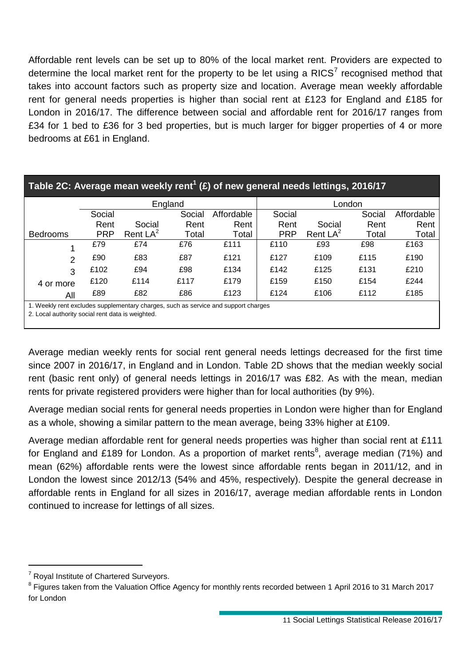Affordable rent levels can be set up to 80% of the local market rent. Providers are expected to determine the local market rent for the property to be let using a RICS<sup>7</sup> recognised method that takes into account factors such as property size and location. Average mean weekly affordable rent for general needs properties is higher than social rent at £123 for England and £185 for London in 2016/17. The difference between social and affordable rent for 2016/17 ranges from £34 for 1 bed to £36 for 3 bed properties, but is much larger for bigger properties of 4 or more bedrooms at £61 in England.

|                                                                                    | Table 2C: Average mean weekly rent <sup>1</sup> (£) of new general needs lettings, 2016/17 |            |         |        |            |            |            |       |  |  |  |  |  |  |
|------------------------------------------------------------------------------------|--------------------------------------------------------------------------------------------|------------|---------|--------|------------|------------|------------|-------|--|--|--|--|--|--|
|                                                                                    |                                                                                            |            | England |        |            |            | London     |       |  |  |  |  |  |  |
|                                                                                    | Social                                                                                     |            | Social  | Social |            | Social     | Affordable |       |  |  |  |  |  |  |
|                                                                                    | Rent                                                                                       | Social     | Rent    | Rent   | Rent       | Social     | Rent       | Rent  |  |  |  |  |  |  |
| <b>Bedrooms</b>                                                                    | <b>PRP</b>                                                                                 | Rent $LA2$ | Total   | Total  | <b>PRP</b> | Rent $LA2$ | Total      | Total |  |  |  |  |  |  |
|                                                                                    | £79                                                                                        | £74        | £76     | £111   | £110       | £93        | £98        | £163  |  |  |  |  |  |  |
| $\mathcal{P}$                                                                      | £90                                                                                        | £83        | £87     | £121   | £127       | £109       | £115       | £190  |  |  |  |  |  |  |
| 3                                                                                  | £102                                                                                       | £94        | £98     | £134   | £142       | £125       | £131       | £210  |  |  |  |  |  |  |
| 4 or more                                                                          | £120                                                                                       | £114       | £117    | £179   | £159       | £150       | £154       | £244  |  |  |  |  |  |  |
| All                                                                                | £89                                                                                        | £82        | £86     | £123   | £124       | £106       | £112       | £185  |  |  |  |  |  |  |
| 1. Weekly rent excludes supplementary charges, such as service and support charges |                                                                                            |            |         |        |            |            |            |       |  |  |  |  |  |  |

2. Local authority social rent data is weighted.

Average median weekly rents for social rent general needs lettings decreased for the first time since 2007 in 2016/17, in England and in London. Table 2D shows that the median weekly social rent (basic rent only) of general needs lettings in 2016/17 was £82. As with the mean, median rents for private registered providers were higher than for local authorities (by 9%).

Average median social rents for general needs properties in London were higher than for England as a whole, showing a similar pattern to the mean average, being 33% higher at £109.

Average median affordable rent for general needs properties was higher than social rent at £111 for England and £189 for London. As a proportion of market rents<sup>8</sup>, average median (71%) and mean (62%) affordable rents were the lowest since affordable rents began in 2011/12, and in London the lowest since 2012/13 (54% and 45%, respectively). Despite the general decrease in affordable rents in England for all sizes in 2016/17, average median affordable rents in London continued to increase for lettings of all sizes.

<sup>&</sup>lt;sup>7</sup> Royal Institute of Chartered Surveyors.

<sup>&</sup>lt;sup>8</sup> Figures taken from the Valuation Office Agency for monthly rents recorded between 1 April 2016 to 31 March 2017 for London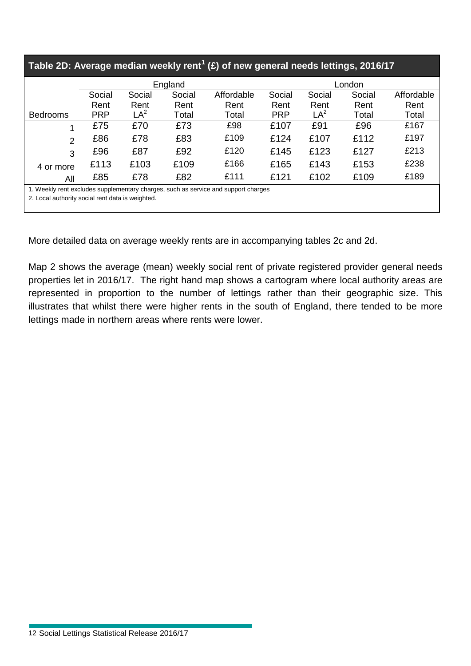| Table 2D: Average median weekly rent <sup>1</sup> (£) of new general needs lettings, 2016/17 |                                                                                                                                        |                 |         |            |            |        |        |            |  |  |  |  |
|----------------------------------------------------------------------------------------------|----------------------------------------------------------------------------------------------------------------------------------------|-----------------|---------|------------|------------|--------|--------|------------|--|--|--|--|
|                                                                                              |                                                                                                                                        |                 | England |            |            |        | London |            |  |  |  |  |
|                                                                                              | Social                                                                                                                                 | Social          | Social  | Affordable | Social     | Social | Social | Affordable |  |  |  |  |
|                                                                                              | Rent                                                                                                                                   | Rent            | Rent    | Rent       | Rent       | Rent   | Rent   | Rent       |  |  |  |  |
| <b>Bedrooms</b>                                                                              | <b>PRP</b>                                                                                                                             | LA <sup>2</sup> | Total   | Total      | <b>PRP</b> | $LA^2$ | Total  | Total      |  |  |  |  |
| 1                                                                                            | £75                                                                                                                                    | £70             | £73     | £98        | £107       | £91    | £96    | £167       |  |  |  |  |
| 2                                                                                            | £86                                                                                                                                    | £78             | £83     | £109       | £124       | £107   | £112   | £197       |  |  |  |  |
| 3                                                                                            | £96                                                                                                                                    | £87             | £92     | £120       | £145       | £123   | £127   | £213       |  |  |  |  |
| 4 or more                                                                                    | £113                                                                                                                                   | £103            | £109    | £166       | £165       | £143   | £153   | £238       |  |  |  |  |
| All                                                                                          | £85                                                                                                                                    | £78             | £82     | £111       | £121       | £102   | £109   | £189       |  |  |  |  |
|                                                                                              | 1. Weekly rent excludes supplementary charges, such as service and support charges<br>2. Local authority social rent data is weighted. |                 |         |            |            |        |        |            |  |  |  |  |

More detailed data on average weekly rents are in accompanying tables 2c and 2d.

Map 2 shows the average (mean) weekly social rent of private registered provider general needs properties let in 2016/17. The right hand map shows a cartogram where local authority areas are represented in proportion to the number of lettings rather than their geographic size. This illustrates that whilst there were higher rents in the south of England, there tended to be more lettings made in northern areas where rents were lower.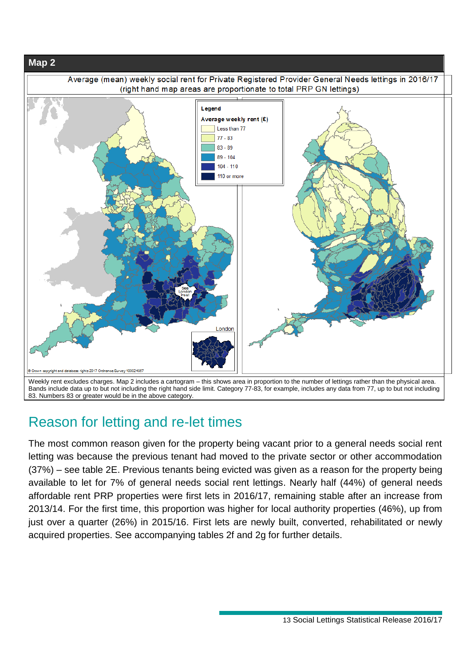

83. Numbers 83 or greater would be in the above category.

## Reason for letting and re-let times

The most common reason given for the property being vacant prior to a general needs social rent letting was because the previous tenant had moved to the private sector or other accommodation (37%) – see table 2E. Previous tenants being evicted was given as a reason for the property being available to let for 7% of general needs social rent lettings. Nearly half (44%) of general needs affordable rent PRP properties were first lets in 2016/17, remaining stable after an increase from 2013/14. For the first time, this proportion was higher for local authority properties (46%), up from just over a quarter (26%) in 2015/16. First lets are newly built, converted, rehabilitated or newly acquired properties. See accompanying tables 2f and 2g for further details.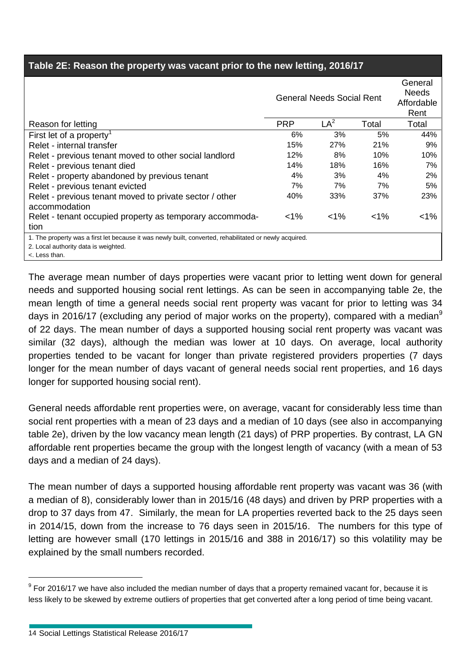#### **Table 2E: Reason the property was vacant prior to the new letting, 2016/17**

|                                                                                                         |            | <b>General Needs Social Rent</b> |       | General<br><b>Needs</b><br>Affordable<br>Rent |
|---------------------------------------------------------------------------------------------------------|------------|----------------------------------|-------|-----------------------------------------------|
| Reason for letting                                                                                      | <b>PRP</b> | LA <sup>2</sup>                  | Total | Total                                         |
| First let of a property <sup>1</sup>                                                                    | 6%         | 3%                               | 5%    | 44%                                           |
| Relet - internal transfer                                                                               | 15%        | 27%                              | 21%   | 9%                                            |
| Relet - previous tenant moved to other social landlord                                                  | 12%        | 8%                               | 10%   | 10%                                           |
| Relet - previous tenant died                                                                            | 14%        | 18%                              | 16%   | 7%                                            |
| Relet - property abandoned by previous tenant                                                           | 4%         | 3%                               | 4%    | 2%                                            |
| Relet - previous tenant evicted                                                                         | 7%         | 7%                               | 7%    | 5%                                            |
| Relet - previous tenant moved to private sector / other                                                 | 40%        | 33%                              | 37%   | 23%                                           |
| accommodation                                                                                           |            |                                  |       |                                               |
| Relet - tenant occupied property as temporary accommoda-                                                | $< 1\%$    | $< 1\%$                          | $1\%$ | $< 1\%$                                       |
| tion                                                                                                    |            |                                  |       |                                               |
| 1. The property was a first let because it was newly built, converted, rehabilitated or newly acquired. |            |                                  |       |                                               |
| 2. Local authority data is weighted.                                                                    |            |                                  |       |                                               |
| <. Less than.                                                                                           |            |                                  |       |                                               |

The average mean number of days properties were vacant prior to letting went down for general needs and supported housing social rent lettings. As can be seen in accompanying table 2e, the mean length of time a general needs social rent property was vacant for prior to letting was 34 days in 2016/17 (excluding any period of major works on the property), compared with a median<sup>9</sup> of 22 days. The mean number of days a supported housing social rent property was vacant was similar (32 days), although the median was lower at 10 days. On average, local authority properties tended to be vacant for longer than private registered providers properties (7 days longer for the mean number of days vacant of general needs social rent properties, and 16 days longer for supported housing social rent).

General needs affordable rent properties were, on average, vacant for considerably less time than social rent properties with a mean of 23 days and a median of 10 days (see also in accompanying table 2e), driven by the low vacancy mean length (21 days) of PRP properties. By contrast, LA GN affordable rent properties became the group with the longest length of vacancy (with a mean of 53 days and a median of 24 days).

The mean number of days a supported housing affordable rent property was vacant was 36 (with a median of 8), considerably lower than in 2015/16 (48 days) and driven by PRP properties with a drop to 37 days from 47. Similarly, the mean for LA properties reverted back to the 25 days seen in 2014/15, down from the increase to 76 days seen in 2015/16. The numbers for this type of letting are however small (170 lettings in 2015/16 and 388 in 2016/17) so this volatility may be explained by the small numbers recorded.

 $9$  For 2016/17 we have also included the median number of days that a property remained vacant for, because it is less likely to be skewed by extreme outliers of properties that get converted after a long period of time being vacant.

<sup>14</sup> Social Lettings Statistical Release 2016/17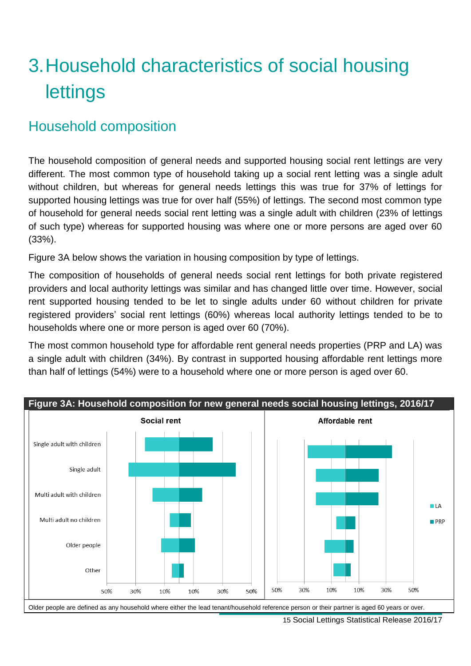# 3.Household characteristics of social housing lettings

## Household composition

The household composition of general needs and supported housing social rent lettings are very different. The most common type of household taking up a social rent letting was a single adult without children, but whereas for general needs lettings this was true for 37% of lettings for supported housing lettings was true for over half (55%) of lettings. The second most common type of household for general needs social rent letting was a single adult with children (23% of lettings of such type) whereas for supported housing was where one or more persons are aged over 60 (33%).

Figure 3A below shows the variation in housing composition by type of lettings.

The composition of households of general needs social rent lettings for both private registered providers and local authority lettings was similar and has changed little over time. However, social rent supported housing tended to be let to single adults under 60 without children for private registered providers' social rent lettings (60%) whereas local authority lettings tended to be to households where one or more person is aged over 60 (70%).

The most common household type for affordable rent general needs properties (PRP and LA) was a single adult with children (34%). By contrast in supported housing affordable rent lettings more than half of lettings (54%) were to a household where one or more person is aged over 60.

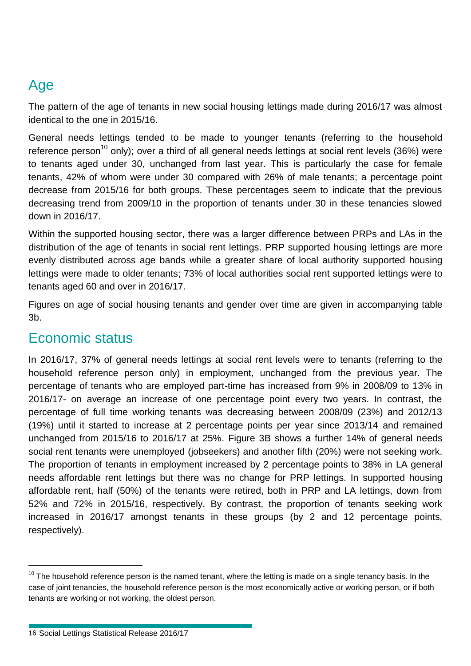## Age

The pattern of the age of tenants in new social housing lettings made during 2016/17 was almost identical to the one in 2015/16.

General needs lettings tended to be made to younger tenants (referring to the household reference person<sup>10</sup> only); over a third of all general needs lettings at social rent levels (36%) were to tenants aged under 30, unchanged from last year. This is particularly the case for female tenants, 42% of whom were under 30 compared with 26% of male tenants; a percentage point decrease from 2015/16 for both groups. These percentages seem to indicate that the previous decreasing trend from 2009/10 in the proportion of tenants under 30 in these tenancies slowed down in 2016/17.

Within the supported housing sector, there was a larger difference between PRPs and LAs in the distribution of the age of tenants in social rent lettings. PRP supported housing lettings are more evenly distributed across age bands while a greater share of local authority supported housing lettings were made to older tenants; 73% of local authorities social rent supported lettings were to tenants aged 60 and over in 2016/17.

Figures on age of social housing tenants and gender over time are given in accompanying table 3b.

### Economic status

In 2016/17, 37% of general needs lettings at social rent levels were to tenants (referring to the household reference person only) in employment, unchanged from the previous year. The percentage of tenants who are employed part-time has increased from 9% in 2008/09 to 13% in 2016/17- on average an increase of one percentage point every two years. In contrast, the percentage of full time working tenants was decreasing between 2008/09 (23%) and 2012/13 (19%) until it started to increase at 2 percentage points per year since 2013/14 and remained unchanged from 2015/16 to 2016/17 at 25%. Figure 3B shows a further 14% of general needs social rent tenants were unemployed (jobseekers) and another fifth (20%) were not seeking work. The proportion of tenants in employment increased by 2 percentage points to 38% in LA general needs affordable rent lettings but there was no change for PRP lettings. In supported housing affordable rent, half (50%) of the tenants were retired, both in PRP and LA lettings, down from 52% and 72% in 2015/16, respectively. By contrast, the proportion of tenants seeking work increased in 2016/17 amongst tenants in these groups (by 2 and 12 percentage points, respectively).

 $10$  The household reference person is the named tenant, where the letting is made on a single tenancy basis. In the case of joint tenancies, the household reference person is the most economically active or working person, or if both tenants are working or not working, the oldest person.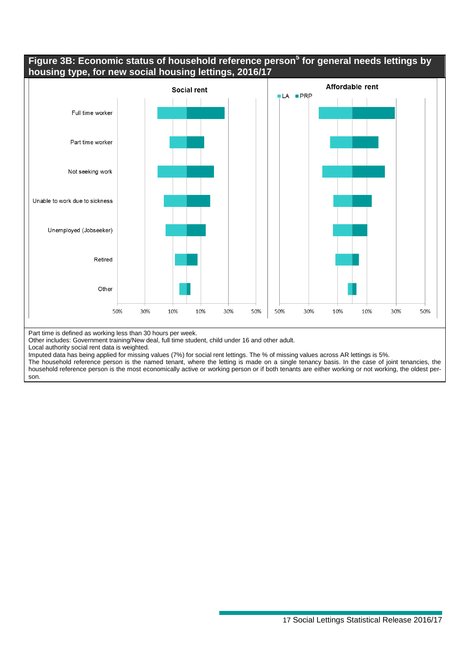#### **Figure 3B: Economic status of household reference person<sup>5</sup> for general needs lettings by housing type, for new social housing lettings, 2016/17**



Part time is defined as working less than 30 hours per week.

Other includes: Government training/New deal, full time student, child under 16 and other adult.

Local authority social rent data is weighted.

Imputed data has being applied for missing values (7%) for social rent lettings. The % of missing values across AR lettings is 5%.

The household reference person is the named tenant, where the letting is made on a single tenancy basis. In the case of joint tenancies, the household reference person is the most economically active or working person or if both tenants are either working or not working, the oldest person.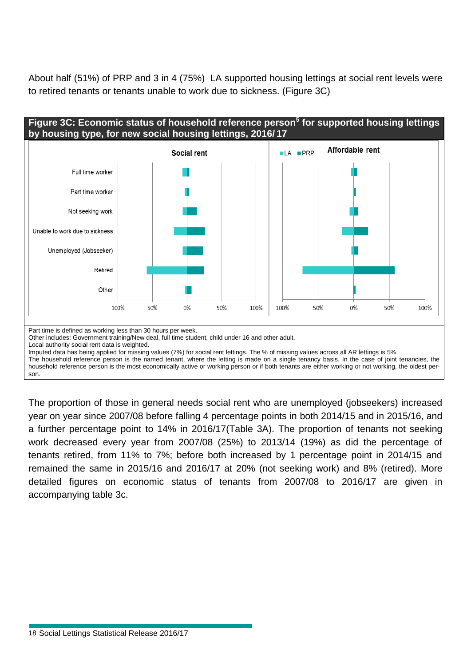About half (51%) of PRP and 3 in 4 (75%) LA supported housing lettings at social rent levels were to retired tenants or tenants unable to work due to sickness. (Figure 3C)



The proportion of those in general needs social rent who are unemployed (jobseekers) increased year on year since 2007/08 before falling 4 percentage points in both 2014/15 and in 2015/16, and a further percentage point to 14% in 2016/17(Table 3A). The proportion of tenants not seeking work decreased every year from 2007/08 (25%) to 2013/14 (19%) as did the percentage of tenants retired, from 11% to 7%; before both increased by 1 percentage point in 2014/15 and remained the same in 2015/16 and 2016/17 at 20% (not seeking work) and 8% (retired). More detailed figures on economic status of tenants from 2007/08 to 2016/17 are given in accompanying table 3c.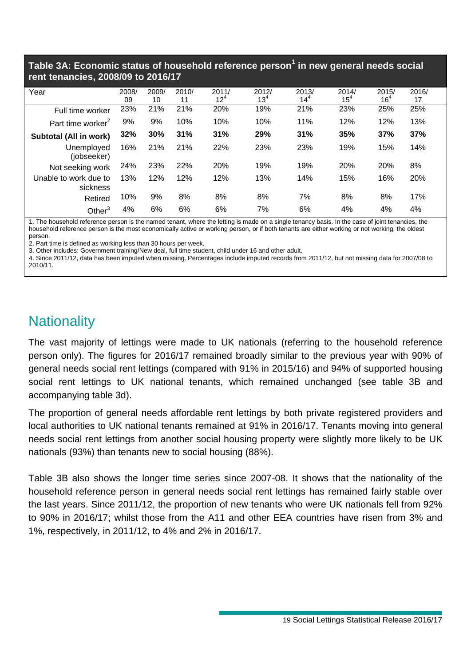#### **Table 3A: Economic status of household reference person<sup>1</sup> in new general needs social rent tenancies, 2008/09 to 2016/17**

| Year                              | 2008/<br>09 | 2009/<br>10 | 2010/<br>11 | 2011/<br>$12^{4}$ | 2012/<br>$13^{4}$ | 2013/<br>$14^{4}$ | 2014/<br>$15^{4}$ | 2015/<br>$16^{4}$ | 2016/<br>17 |
|-----------------------------------|-------------|-------------|-------------|-------------------|-------------------|-------------------|-------------------|-------------------|-------------|
| Full time worker                  | 23%         | 21%         | 21%         | 20%               | 19%               | 21%               | 23%               | 25%               | 25%         |
| Part time worker <sup>2</sup>     | 9%          | 9%          | 10%         | 10%               | 10%               | 11%               | 12%               | 12%               | 13%         |
| Subtotal (All in work)            | 32%         | 30%         | 31%         | 31%               | 29%               | 31%               | 35%               | 37%               | 37%         |
| Unemployed<br>(jobseeker)         | 16%         | 21%         | 21%         | 22%               | 23%               | 23%               | 19%               | 15%               | 14%         |
| Not seeking work                  | 24%         | 23%         | 22%         | 20%               | 19%               | 19%               | 20%               | 20%               | 8%          |
| Unable to work due to<br>sickness | 13%         | 12%         | 12%         | 12%               | 13%               | 14%               | 15%               | 16%               | 20%         |
| Retired                           | 10%         | 9%          | 8%          | 8%                | 8%                | 7%                | 8%                | 8%                | 17%         |
| Other $3$                         | 4%          | 6%          | 6%          | 6%                | 7%                | 6%                | 4%                | 4%                | 4%          |

1. The household reference person is the named tenant, where the letting is made on a single tenancy basis. In the case of joint tenancies, the household reference person is the most economically active or working person, or if both tenants are either working or not working, the oldest person.

2. Part time is defined as working less than 30 hours per week.

3. Other includes: Government training/New deal, full time student, child under 16 and other adult.

4. Since 2011/12, data has been imputed when missing. Percentages include imputed records from 2011/12, but not missing data for 2007/08 to 2010/11.

## **Nationality**

The vast majority of lettings were made to UK nationals (referring to the household reference person only). The figures for 2016/17 remained broadly similar to the previous year with 90% of general needs social rent lettings (compared with 91% in 2015/16) and 94% of supported housing social rent lettings to UK national tenants, which remained unchanged (see table 3B and accompanying table 3d).

The proportion of general needs affordable rent lettings by both private registered providers and local authorities to UK national tenants remained at 91% in 2016/17. Tenants moving into general needs social rent lettings from another social housing property were slightly more likely to be UK nationals (93%) than tenants new to social housing (88%).

Table 3B also shows the longer time series since 2007-08. It shows that the nationality of the household reference person in general needs social rent lettings has remained fairly stable over the last years. Since 2011/12, the proportion of new tenants who were UK nationals fell from 92% to 90% in 2016/17; whilst those from the A11 and other EEA countries have risen from 3% and 1%, respectively, in 2011/12, to 4% and 2% in 2016/17.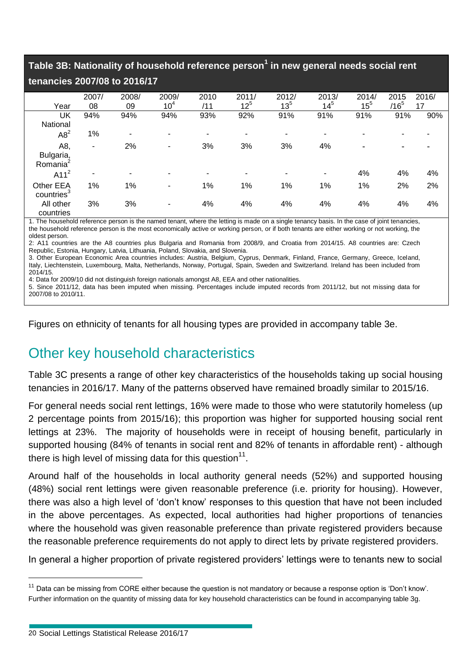**Table 3B: Nationality of household reference person<sup>1</sup> in new general needs social rent** 

#### **tenancies 2007/08 to 2016/17**

|                                     | 2007/ | 2008/ | 2009/                    | 2010 | 2011/    | 2012/    | 2013/    | 2014/  | 2015    | 2016/ |
|-------------------------------------|-------|-------|--------------------------|------|----------|----------|----------|--------|---------|-------|
| Year                                | 08    | 09    | 10 <sup>4</sup>          | /11  | $12^{5}$ | $13^{5}$ | $14^{5}$ | $15^5$ | $/16^5$ | 17    |
| UK                                  | 94%   | 94%   | 94%                      | 93%  | 92%      | 91%      | 91%      | 91%    | 91%     | 90%   |
| National                            |       |       |                          |      |          |          |          |        |         |       |
| $A8^2$                              | 1%    | ٠     |                          |      |          |          |          |        |         |       |
| A8,                                 | ۰     | 2%    | ٠                        | 3%   | 3%       | 3%       | 4%       |        |         |       |
| Bulgaria,<br>Romania <sup>2</sup>   |       |       |                          |      |          |          |          |        |         |       |
| A11 <sup>2</sup>                    | ۰.    | ۰     | $\overline{\phantom{0}}$ |      | -        |          | ۰        | 4%     | 4%      | 4%    |
| Other EEA<br>countries <sup>3</sup> | 1%    | 1%    | -                        | 1%   | 1%       | 1%       | 1%       | 1%     | 2%      | 2%    |
| All other<br>countries              | 3%    | 3%    | ٠                        | 4%   | 4%       | 4%       | 4%       | 4%     | 4%      | 4%    |

1. The household reference person is the named tenant, where the letting is made on a single tenancy basis. In the case of joint tenancies, the household reference person is the most economically active or working person, or if both tenants are either working or not working, the oldest person.

2: A11 countries are the A8 countries plus Bulgaria and Romania from 2008/9, and Croatia from 2014/15. A8 countries are: Czech Republic, Estonia, Hungary, Latvia, Lithuania, Poland, Slovakia, and Slovenia.

3. Other European Economic Area countries includes: Austria, Belgium, Cyprus, Denmark, Finland, France, Germany, Greece, Iceland, Italy, Liechtenstein, Luxembourg, Malta, Netherlands, Norway, Portugal, Spain, Sweden and Switzerland. Ireland has been included from 2014/15.

4: Data for 2009/10 did not distinguish foreign nationals amongst A8, EEA and other nationalities.

5. Since 2011/12, data has been imputed when missing. Percentages include imputed records from 2011/12, but not missing data for 2007/08 to 2010/11.

Figures on ethnicity of tenants for all housing types are provided in accompany table 3e.

## Other key household characteristics

Table 3C presents a range of other key characteristics of the households taking up social housing tenancies in 2016/17. Many of the patterns observed have remained broadly similar to 2015/16.

For general needs social rent lettings, 16% were made to those who were statutorily homeless (up 2 percentage points from 2015/16); this proportion was higher for supported housing social rent lettings at 23%. The majority of households were in receipt of housing benefit, particularly in supported housing (84% of tenants in social rent and 82% of tenants in affordable rent) - although there is high level of missing data for this question $^{11}$ .

Around half of the households in local authority general needs (52%) and supported housing (48%) social rent lettings were given reasonable preference (i.e. priority for housing). However, there was also a high level of 'don't know' responses to this question that have not been included in the above percentages. As expected, local authorities had higher proportions of tenancies where the household was given reasonable preference than private registered providers because the reasonable preference requirements do not apply to direct lets by private registered providers.

In general a higher proportion of private registered providers' lettings were to tenants new to social

<sup>&</sup>lt;sup>11</sup> Data can be missing from CORE either because the question is not mandatory or because a response option is 'Don't know'. Further information on the quantity of missing data for key household characteristics can be found in accompanying table 3g.

<sup>20</sup> Social Lettings Statistical Release 2016/17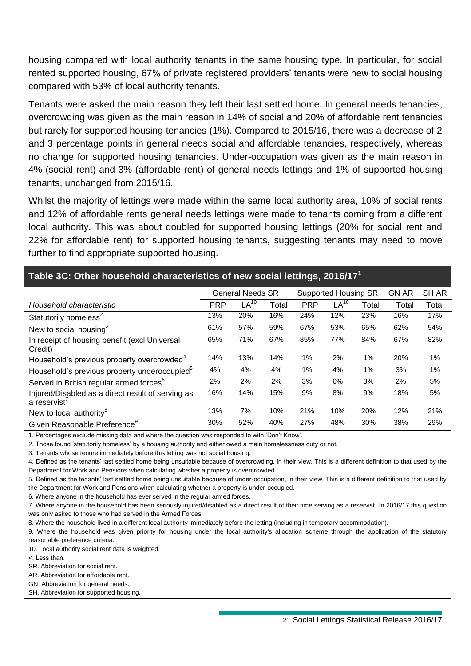housing compared with local authority tenants in the same housing type. In particular, for social rented supported housing, 67% of private registered providers' tenants were new to social housing compared with 53% of local authority tenants.

Tenants were asked the main reason they left their last settled home. In general needs tenancies, overcrowding was given as the main reason in 14% of social and 20% of affordable rent tenancies but rarely for supported housing tenancies (1%). Compared to 2015/16, there was a decrease of 2 and 3 percentage points in general needs social and affordable tenancies, respectively, whereas no change for supported housing tenancies. Under-occupation was given as the main reason in 4% (social rent) and 3% (affordable rent) of general needs lettings and 1% of supported housing tenants, unchanged from 2015/16.

Whilst the majority of lettings were made within the same local authority area, 10% of social rents and 12% of affordable rents general needs lettings were made to tenants coming from a different local authority. This was about doubled for supported housing lettings (20% for social rent and 22% for affordable rent) for supported housing tenants, suggesting tenants may need to move further to find appropriate supported housing.

### **Table 3C: Other household characteristics of new social lettings, 2016/17 1**

|                                                                  | <b>General Needs SR</b> |                  |       |            | <b>Supported Housing SR</b> | <b>GN AR</b> | SH AR |       |
|------------------------------------------------------------------|-------------------------|------------------|-------|------------|-----------------------------|--------------|-------|-------|
| Household characteristic                                         | <b>PRP</b>              | LA <sup>10</sup> | Total | <b>PRP</b> | $LA^{10}$                   | Total        | Total | Total |
| Statutorily homeless <sup>2</sup>                                | 13%                     | 20%              | 16%   | 24%        | 12%                         | 23%          | 16%   | 17%   |
| New to social housing $3$                                        | 61%                     | 57%              | 59%   | 67%        | 53%                         | 65%          | 62%   | 54%   |
| In receipt of housing benefit (excl Universal<br>Credit)         | 65%                     | 71%              | 67%   | 85%        | 77%                         | 84%          | 67%   | 82%   |
| Household's previous property overcrowded <sup>4</sup>           | 14%                     | 13%              | 14%   | 1%         | 2%                          | 1%           | 20%   | 1%    |
| Household's previous property underoccupied <sup>5</sup>         | 4%                      | 4%               | 4%    | 1%         | 4%                          | 1%           | 3%    | 1%    |
| Served in British regular armed forces <sup>6</sup>              | 2%                      | 2%               | 2%    | 3%         | 6%                          | 3%           | 2%    | 5%    |
| Injured/Disabled as a direct result of serving as<br>a reservist | 16%                     | 14%              | 15%   | 9%         | 8%                          | 9%           | 18%   | 5%    |
| New to local authority <sup>8</sup>                              | 13%                     | 7%               | 10%   | 21%        | 10%                         | 20%          | 12%   | 21%   |
| Given Reasonable Preference <sup>9</sup>                         | 30%                     | 52%              | 40%   | 27%        | 48%                         | 30%          | 38%   | 29%   |

1. Percentages exclude missing data and where the question was responded to with 'Don't Know'.

2. Those found 'statutorily homeless' by a housing authority and either owed a main homelessness duty or not.

3. Tenants whose tenure immediately before this letting was not social housing.

4. Defined as the tenants' last settled home being unsuitable because of overcrowding, in their view. This is a different definition to that used by the Department for Work and Pensions when calculating whether a property is overcrowded.

5. Defined as the tenants' last settled home being unsuitable because of under-occupation, in their view. This is a different definition to that used by the Department for Work and Pensions when calculating whether a property is under-occupied.

6. Where anyone in the household has ever served in the regular armed forces.

7. Where anyone in the household has been seriously injured/disabled as a direct result of their time serving as a reservist. In 2016/17 this question was only asked to those who had served in the Armed Forces.

8. Where the household lived in a different local authority immediately before the letting (including in temporary accommodation).

9. Where the household was given priority for housing under the local authority's allocation scheme through the application of the statutory reasonable preference criteria.

10. Local authority social rent data is weighted.

<. Less than.

SR. Abbreviation for social rent.

AR. Abbreviation for affordable rent.

GN. Abbreviation for general needs.

SH. Abbreviation for supported housing.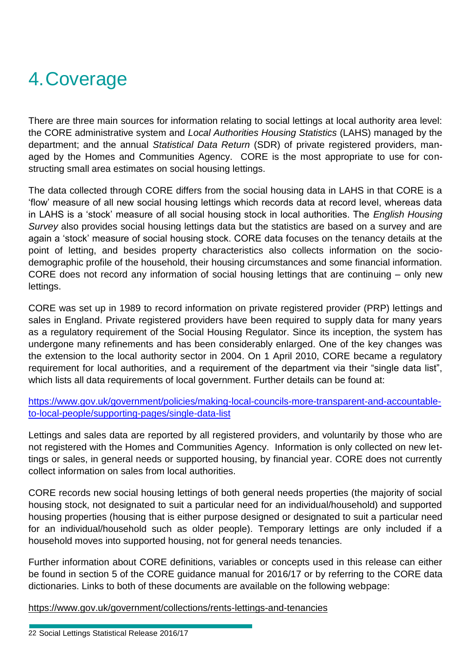# 4.Coverage

There are three main sources for information relating to social lettings at local authority area level: the CORE administrative system and *Local Authorities Housing Statistics* (LAHS) managed by the department; and the annual *Statistical Data Return* (SDR) of private registered providers, managed by the Homes and Communities Agency. CORE is the most appropriate to use for constructing small area estimates on social housing lettings.

The data collected through CORE differs from the social housing data in LAHS in that CORE is a 'flow' measure of all new social housing lettings which records data at record level, whereas data in LAHS is a 'stock' measure of all social housing stock in local authorities. The *English Housing Survey* also provides social housing lettings data but the statistics are based on a survey and are again a 'stock' measure of social housing stock. CORE data focuses on the tenancy details at the point of letting, and besides property characteristics also collects information on the sociodemographic profile of the household, their housing circumstances and some financial information. CORE does not record any information of social housing lettings that are continuing – only new lettings.

CORE was set up in 1989 to record information on private registered provider (PRP) lettings and sales in England. Private registered providers have been required to supply data for many years as a regulatory requirement of the Social Housing Regulator. Since its inception, the system has undergone many refinements and has been considerably enlarged. One of the key changes was the extension to the local authority sector in 2004. On 1 April 2010, CORE became a regulatory requirement for local authorities, and a requirement of the department via their "single data list". which lists all data requirements of local government. Further details can be found at:

[https://www.gov.uk/government/policies/making-local-councils-more-transparent-and-accountable](https://www.gov.uk/government/policies/making-local-councils-more-transparent-and-accountable-to-local-people/supporting-pages/single-data-list)[to-local-people/supporting-pages/single-data-list](https://www.gov.uk/government/policies/making-local-councils-more-transparent-and-accountable-to-local-people/supporting-pages/single-data-list)

Lettings and sales data are reported by all registered providers, and voluntarily by those who are not registered with the Homes and Communities Agency. Information is only collected on new lettings or sales, in general needs or supported housing, by financial year. CORE does not currently collect information on sales from local authorities.

CORE records new social housing lettings of both general needs properties (the majority of social housing stock, not designated to suit a particular need for an individual/household) and supported housing properties (housing that is either purpose designed or designated to suit a particular need for an individual/household such as older people). Temporary lettings are only included if a household moves into supported housing, not for general needs tenancies.

Further information about CORE definitions, variables or concepts used in this release can either be found in section 5 of the CORE guidance manual for 2016/17 or by referring to the CORE data dictionaries. Links to both of these documents are available on the following webpage:

<https://www.gov.uk/government/collections/rents-lettings-and-tenancies>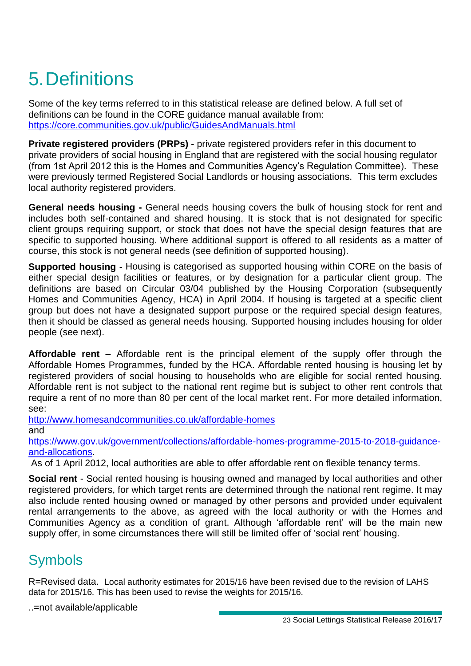# 5.Definitions

Some of the key terms referred to in this statistical release are defined below. A full set of definitions can be found in the CORE guidance manual available from: <https://core.communities.gov.uk/public/GuidesAndManuals.html>

**Private registered providers (PRPs)** - private registered providers refer in this document to private providers of social housing in England that are registered with the social housing regulator (from 1st April 2012 this is the Homes and Communities Agency's Regulation Committee). These were previously termed Registered Social Landlords or housing associations. This term excludes local authority registered providers.

**General needs housing -** General needs housing covers the bulk of housing stock for rent and includes both self-contained and shared housing. It is stock that is not designated for specific client groups requiring support, or stock that does not have the special design features that are specific to supported housing. Where additional support is offered to all residents as a matter of course, this stock is not general needs (see definition of supported housing).

**Supported housing -** Housing is categorised as supported housing within CORE on the basis of either special design facilities or features, or by designation for a particular client group. The definitions are based on Circular 03/04 published by the Housing Corporation (subsequently Homes and Communities Agency, HCA) in April 2004. If housing is targeted at a specific client group but does not have a designated support purpose or the required special design features, then it should be classed as general needs housing. Supported housing includes housing for older people (see next).

**Affordable rent** – Affordable rent is the principal element of the supply offer through the Affordable Homes Programmes, funded by the HCA. Affordable rented housing is housing let by registered providers of social housing to households who are eligible for social rented housing. Affordable rent is not subject to the national rent regime but is subject to other rent controls that require a rent of no more than 80 per cent of the local market rent. For more detailed information, see:

<http://www.homesandcommunities.co.uk/affordable-homes> and

[https://www.gov.uk/government/collections/affordable-homes-programme-2015-to-2018-guidance](https://www.gov.uk/government/collections/affordable-homes-programme-2015-to-2018-guidance-and-allocations)[and-allocations.](https://www.gov.uk/government/collections/affordable-homes-programme-2015-to-2018-guidance-and-allocations)

As of 1 April 2012, local authorities are able to offer affordable rent on flexible tenancy terms.

**Social rent** - Social rented housing is housing owned and managed by local authorities and other registered providers, for which target rents are determined through the national rent regime. It may also include rented housing owned or managed by other persons and provided under equivalent rental arrangements to the above, as agreed with the local authority or with the Homes and Communities Agency as a condition of grant. Although 'affordable rent' will be the main new supply offer, in some circumstances there will still be limited offer of 'social rent' housing.

## Symbols

R=Revised data. Local authority estimates for 2015/16 have been revised due to the revision of LAHS data for 2015/16. This has been used to revise the weights for 2015/16.

..=not available/applicable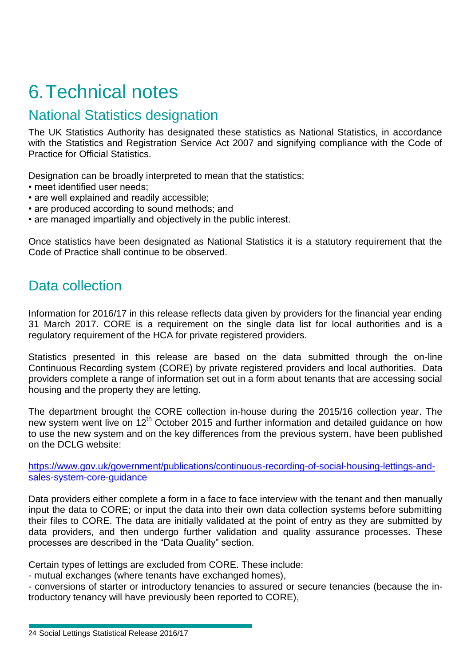## 6.Technical notes

## National Statistics designation

The UK Statistics Authority has designated these statistics as National Statistics, in accordance with the Statistics and Registration Service Act 2007 and signifying compliance with the Code of Practice for Official Statistics.

Designation can be broadly interpreted to mean that the statistics:

- meet identified user needs;
- are well explained and readily accessible;
- are produced according to sound methods; and
- are managed impartially and objectively in the public interest.

Once statistics have been designated as National Statistics it is a statutory requirement that the Code of Practice shall continue to be observed.

### Data collection

Information for 2016/17 in this release reflects data given by providers for the financial year ending 31 March 2017. CORE is a requirement on the single data list for local authorities and is a regulatory requirement of the HCA for private registered providers.

Statistics presented in this release are based on the data submitted through the on-line Continuous Recording system (CORE) by private registered providers and local authorities. Data providers complete a range of information set out in a form about tenants that are accessing social housing and the property they are letting.

The department brought the CORE collection in-house during the 2015/16 collection year. The new system went live on 12<sup>th</sup> October 2015 and further information and detailed quidance on how to use the new system and on the key differences from the previous system, have been published on the DCLG website:

[https://www.gov.uk/government/publications/continuous-recording-of-social-housing-lettings-and](https://www.gov.uk/government/publications/continuous-recording-of-social-housing-lettings-and-sales-system-core-guidance)[sales-system-core-guidance](https://www.gov.uk/government/publications/continuous-recording-of-social-housing-lettings-and-sales-system-core-guidance)

Data providers either complete a form in a face to face interview with the tenant and then manually input the data to CORE; or input the data into their own data collection systems before submitting their files to CORE. The data are initially validated at the point of entry as they are submitted by data providers, and then undergo further validation and quality assurance processes. These processes are described in the "Data Quality" section.

Certain types of lettings are excluded from CORE. These include:

- mutual exchanges (where tenants have exchanged homes),

- conversions of starter or introductory tenancies to assured or secure tenancies (because the introductory tenancy will have previously been reported to CORE),

<sup>24</sup> Social Lettings Statistical Release 2016/17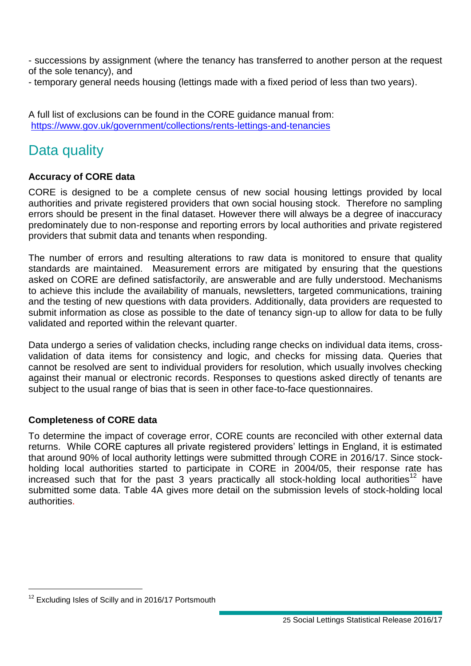- successions by assignment (where the tenancy has transferred to another person at the request of the sole tenancy), and

- temporary general needs housing (lettings made with a fixed period of less than two years).

A full list of exclusions can be found in the CORE guidance manual from: <https://www.gov.uk/government/collections/rents-lettings-and-tenancies>

## Data quality

#### **Accuracy of CORE data**

CORE is designed to be a complete census of new social housing lettings provided by local authorities and private registered providers that own social housing stock. Therefore no sampling errors should be present in the final dataset. However there will always be a degree of inaccuracy predominately due to non-response and reporting errors by local authorities and private registered providers that submit data and tenants when responding.

The number of errors and resulting alterations to raw data is monitored to ensure that quality standards are maintained. Measurement errors are mitigated by ensuring that the questions asked on CORE are defined satisfactorily, are answerable and are fully understood. Mechanisms to achieve this include the availability of manuals, newsletters, targeted communications, training and the testing of new questions with data providers. Additionally, data providers are requested to submit information as close as possible to the date of tenancy sign-up to allow for data to be fully validated and reported within the relevant quarter.

Data undergo a series of validation checks, including range checks on individual data items, crossvalidation of data items for consistency and logic, and checks for missing data. Queries that cannot be resolved are sent to individual providers for resolution, which usually involves checking against their manual or electronic records. Responses to questions asked directly of tenants are subject to the usual range of bias that is seen in other face-to-face questionnaires.

#### **Completeness of CORE data**

To determine the impact of coverage error, CORE counts are reconciled with other external data returns. While CORE captures all private registered providers' lettings in England, it is estimated that around 90% of local authority lettings were submitted through CORE in 2016/17. Since stockholding local authorities started to participate in CORE in 2004/05, their response rate has increased such that for the past 3 years practically all stock-holding local authorities<sup>12</sup> have submitted some data. Table 4A gives more detail on the submission levels of stock-holding local authorities.

<sup>&</sup>lt;sup>12</sup> Excluding Isles of Scilly and in 2016/17 Portsmouth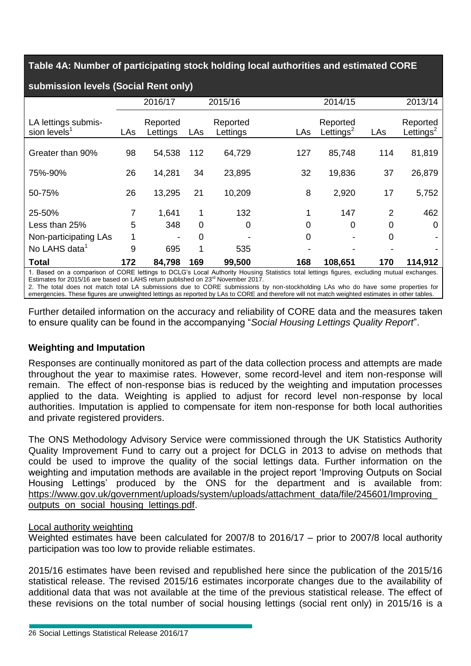**Table 4A: Number of participating stock holding local authorities and estimated CORE** 

| submission levels (Social Rent only)                                                                                                                                                                                                                                                                                                                                                                                                                                                                                            |     |                      |     |                      |     |                          |     |                          |  |  |
|---------------------------------------------------------------------------------------------------------------------------------------------------------------------------------------------------------------------------------------------------------------------------------------------------------------------------------------------------------------------------------------------------------------------------------------------------------------------------------------------------------------------------------|-----|----------------------|-----|----------------------|-----|--------------------------|-----|--------------------------|--|--|
|                                                                                                                                                                                                                                                                                                                                                                                                                                                                                                                                 |     | 2016/17              |     | 2015/16              |     | 2014/15                  |     | 2013/14                  |  |  |
| LA lettings submis-<br>sion levels <sup>1</sup>                                                                                                                                                                                                                                                                                                                                                                                                                                                                                 | LAs | Reported<br>Lettings | LAs | Reported<br>Lettings | LAs | Reported<br>Lettings $2$ | LAs | Reported<br>Lettings $2$ |  |  |
| Greater than 90%                                                                                                                                                                                                                                                                                                                                                                                                                                                                                                                | 98  | 54,538               | 112 | 64,729               | 127 | 85,748                   | 114 | 81,819                   |  |  |
| 75%-90%                                                                                                                                                                                                                                                                                                                                                                                                                                                                                                                         | 26  | 14,281               | 34  | 23,895               | 32  | 19,836                   | 37  | 26,879                   |  |  |
| 50-75%                                                                                                                                                                                                                                                                                                                                                                                                                                                                                                                          | 26  | 13,295               | 21  | 10,209               | 8   | 2,920                    | 17  | 5,752                    |  |  |
| 25-50%                                                                                                                                                                                                                                                                                                                                                                                                                                                                                                                          |     | 1,641                |     | 132                  |     | 147                      | 2   | 462                      |  |  |
| Less than 25%                                                                                                                                                                                                                                                                                                                                                                                                                                                                                                                   | 5   | 348                  | 0   | 0                    | 0   | 0                        | 0   | O                        |  |  |
| Non-participating LAs                                                                                                                                                                                                                                                                                                                                                                                                                                                                                                           |     |                      | 0   |                      | 0   |                          | Ω   |                          |  |  |
| No LAHS data <sup>1</sup>                                                                                                                                                                                                                                                                                                                                                                                                                                                                                                       | 9   | 695                  |     | 535                  |     |                          |     |                          |  |  |
| <b>Total</b>                                                                                                                                                                                                                                                                                                                                                                                                                                                                                                                    | 172 | 84,798               | 169 | 99,500               | 168 | 108,651                  | 170 | 114,912                  |  |  |
| 1. Based on a comparison of CORE lettings to DCLG's Local Authority Housing Statistics total lettings figures, excluding mutual exchanges.<br>Estimates for 2015/16 are based on LAHS return published on 23 <sup>rd</sup> November 2017.<br>2. The total does not match total LA submissions due to CORE submissions by non-stockholding LAs who do have some properties for<br>emergencies. These figures are unweighted lettings as reported by LAs to CORE and therefore will not match weighted estimates in other tables. |     |                      |     |                      |     |                          |     |                          |  |  |

Further detailed information on the accuracy and reliability of CORE data and the measures taken to ensure quality can be found in the accompanying "*Social Housing Lettings Quality Report*".

#### **Weighting and Imputation**

Responses are continually monitored as part of the data collection process and attempts are made throughout the year to maximise rates. However, some record-level and item non-response will remain. The effect of non-response bias is reduced by the weighting and imputation processes applied to the data. Weighting is applied to adjust for record level non-response by local authorities. Imputation is applied to compensate for item non-response for both local authorities and private registered providers.

The ONS Methodology Advisory Service were commissioned through the UK Statistics Authority Quality Improvement Fund to carry out a project for DCLG in 2013 to advise on methods that could be used to improve the quality of the social lettings data. Further information on the weighting and imputation methods are available in the project report 'Improving Outputs on Social Housing Lettings' produced by the ONS for the department and is available from: [https://www.gov.uk/government/uploads/system/uploads/attachment\\_data/file/245601/Improving\\_](https://www.gov.uk/government/uploads/system/uploads/attachment_data/file/245601/Improving_outputs_on_social_housing_lettings.pdf) [outputs\\_on\\_social\\_housing\\_lettings.pdf.](https://www.gov.uk/government/uploads/system/uploads/attachment_data/file/245601/Improving_outputs_on_social_housing_lettings.pdf)

#### Local authority weighting

Weighted estimates have been calculated for 2007/8 to 2016/17 – prior to 2007/8 local authority participation was too low to provide reliable estimates.

2015/16 estimates have been revised and republished here since the publication of the 2015/16 statistical release. The revised 2015/16 estimates incorporate changes due to the availability of additional data that was not available at the time of the previous statistical release. The effect of these revisions on the total number of social housing lettings (social rent only) in 2015/16 is a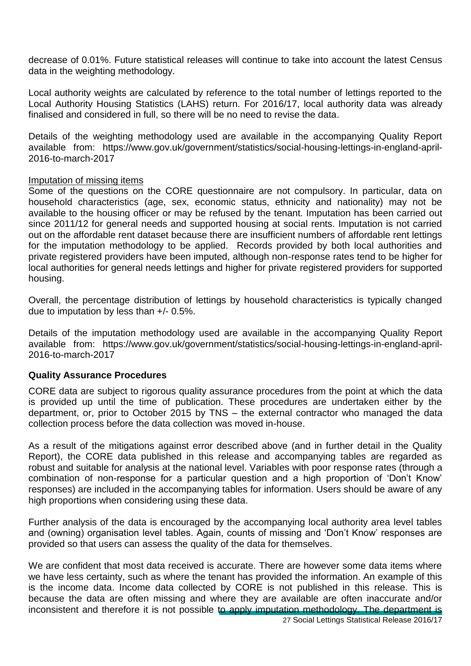decrease of 0.01%. Future statistical releases will continue to take into account the latest Census data in the weighting methodology.

Local authority weights are calculated by reference to the total number of lettings reported to the Local Authority Housing Statistics (LAHS) return. For 2016/17, local authority data was already finalised and considered in full, so there will be no need to revise the data.

Details of the weighting methodology used are available in the accompanying Quality Report available from: https://www.gov.uk/government/statistics/social-housing-lettings-in-england-april-2016-to-march-2017

#### Imputation of missing items

Some of the questions on the CORE questionnaire are not compulsory. In particular, data on household characteristics (age, sex, economic status, ethnicity and nationality) may not be available to the housing officer or may be refused by the tenant. Imputation has been carried out since 2011/12 for general needs and supported housing at social rents. Imputation is not carried out on the affordable rent dataset because there are insufficient numbers of affordable rent lettings for the imputation methodology to be applied. Records provided by both local authorities and private registered providers have been imputed, although non-response rates tend to be higher for local authorities for general needs lettings and higher for private registered providers for supported housing.

Overall, the percentage distribution of lettings by household characteristics is typically changed due to imputation by less than +/- 0.5%.

Details of the imputation methodology used are available in the accompanying Quality Report available from: https://www.gov.uk/government/statistics/social-housing-lettings-in-england-april-2016-to-march-2017

#### **Quality Assurance Procedures**

CORE data are subject to rigorous quality assurance procedures from the point at which the data is provided up until the time of publication. These procedures are undertaken either by the department, or, prior to October 2015 by TNS – the external contractor who managed the data collection process before the data collection was moved in-house.

As a result of the mitigations against error described above (and in further detail in the Quality Report), the CORE data published in this release and accompanying tables are regarded as robust and suitable for analysis at the national level. Variables with poor response rates (through a combination of non-response for a particular question and a high proportion of 'Don't Know' responses) are included in the accompanying tables for information. Users should be aware of any high proportions when considering using these data.

Further analysis of the data is encouraged by the accompanying local authority area level tables and (owning) organisation level tables. Again, counts of missing and 'Don't Know' responses are provided so that users can assess the quality of the data for themselves.

We are confident that most data received is accurate. There are however some data items where we have less certainty, such as where the tenant has provided the information. An example of this is the income data. Income data collected by CORE is not published in this release. This is because the data are often missing and where they are available are often inaccurate and/or inconsistent and therefore it is not possible to apply imputation methodology. The department is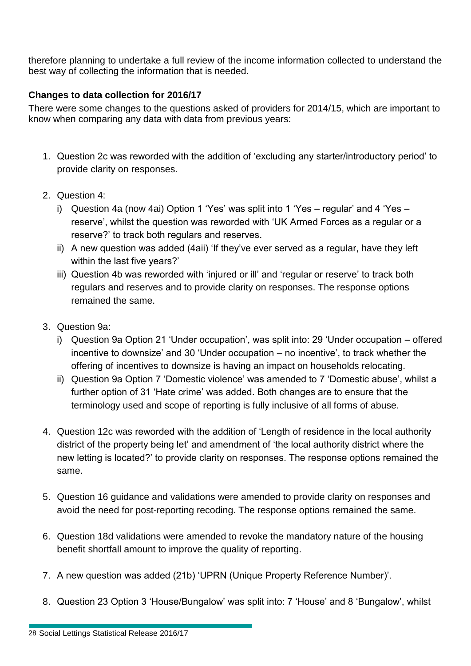therefore planning to undertake a full review of the income information collected to understand the best way of collecting the information that is needed.

### **Changes to data collection for 2016/17**

There were some changes to the questions asked of providers for 2014/15, which are important to know when comparing any data with data from previous years:

- 1. Question 2c was reworded with the addition of 'excluding any starter/introductory period' to provide clarity on responses.
- 2. Question 4:
	- i) Question 4a (now 4ai) Option 1 'Yes' was split into 1 'Yes regular' and 4 'Yes reserve', whilst the question was reworded with 'UK Armed Forces as a regular or a reserve?' to track both regulars and reserves.
	- ii) A new question was added (4aii) 'If they've ever served as a regular, have they left within the last five years?'
	- iii) Question 4b was reworded with 'injured or ill' and 'regular or reserve' to track both regulars and reserves and to provide clarity on responses. The response options remained the same.
- 3. Question 9a:
	- i) Question 9a Option 21 'Under occupation', was split into: 29 'Under occupation offered incentive to downsize' and 30 'Under occupation – no incentive', to track whether the offering of incentives to downsize is having an impact on households relocating.
	- ii) Question 9a Option 7 'Domestic violence' was amended to 7 'Domestic abuse', whilst a further option of 31 'Hate crime' was added. Both changes are to ensure that the terminology used and scope of reporting is fully inclusive of all forms of abuse.
- 4. Question 12c was reworded with the addition of 'Length of residence in the local authority district of the property being let' and amendment of 'the local authority district where the new letting is located?' to provide clarity on responses. The response options remained the same.
- 5. Question 16 guidance and validations were amended to provide clarity on responses and avoid the need for post-reporting recoding. The response options remained the same.
- 6. Question 18d validations were amended to revoke the mandatory nature of the housing benefit shortfall amount to improve the quality of reporting.
- 7. A new question was added (21b) 'UPRN (Unique Property Reference Number)'.
- 8. Question 23 Option 3 'House/Bungalow' was split into: 7 'House' and 8 'Bungalow', whilst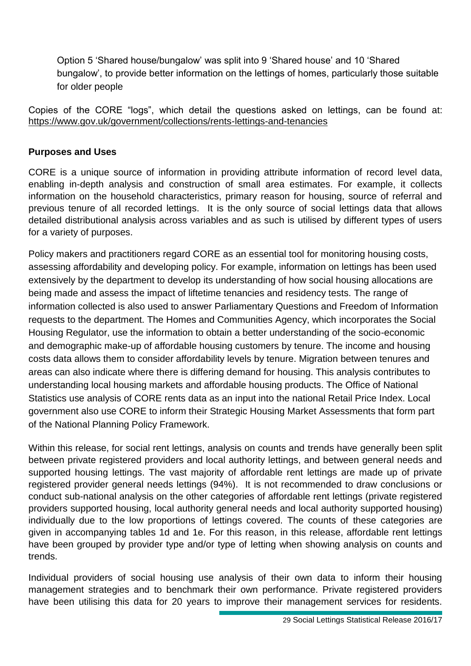Option 5 'Shared house/bungalow' was split into 9 'Shared house' and 10 'Shared bungalow', to provide better information on the lettings of homes, particularly those suitable for older people

Copies of the CORE "logs", which detail the questions asked on lettings, can be found at: <https://www.gov.uk/government/collections/rents-lettings-and-tenancies>

#### **Purposes and Uses**

CORE is a unique source of information in providing attribute information of record level data, enabling in-depth analysis and construction of small area estimates. For example, it collects information on the household characteristics, primary reason for housing, source of referral and previous tenure of all recorded lettings. It is the only source of social lettings data that allows detailed distributional analysis across variables and as such is utilised by different types of users for a variety of purposes.

Policy makers and practitioners regard CORE as an essential tool for monitoring housing costs, assessing affordability and developing policy. For example, information on lettings has been used extensively by the department to develop its understanding of how social housing allocations are being made and assess the impact of liftetime tenancies and residency tests. The range of information collected is also used to answer Parliamentary Questions and Freedom of Information requests to the department. The Homes and Communities Agency, which incorporates the Social Housing Regulator, use the information to obtain a better understanding of the socio-economic and demographic make-up of affordable housing customers by tenure. The income and housing costs data allows them to consider affordability levels by tenure. Migration between tenures and areas can also indicate where there is differing demand for housing. This analysis contributes to understanding local housing markets and affordable housing products. The Office of National Statistics use analysis of CORE rents data as an input into the national Retail Price Index. Local government also use CORE to inform their Strategic Housing Market Assessments that form part of the National Planning Policy Framework.

Within this release, for social rent lettings, analysis on counts and trends have generally been split between private registered providers and local authority lettings, and between general needs and supported housing lettings. The vast majority of affordable rent lettings are made up of private registered provider general needs lettings (94%). It is not recommended to draw conclusions or conduct sub-national analysis on the other categories of affordable rent lettings (private registered providers supported housing, local authority general needs and local authority supported housing) individually due to the low proportions of lettings covered. The counts of these categories are given in accompanying tables 1d and 1e. For this reason, in this release, affordable rent lettings have been grouped by provider type and/or type of letting when showing analysis on counts and trends.

Individual providers of social housing use analysis of their own data to inform their housing management strategies and to benchmark their own performance. Private registered providers have been utilising this data for 20 years to improve their management services for residents.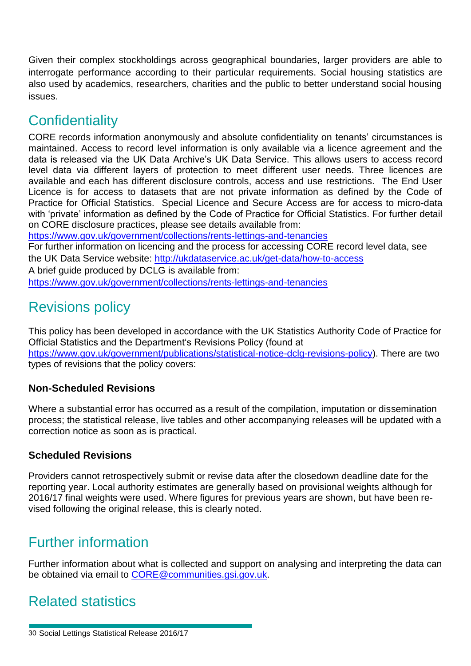Given their complex stockholdings across geographical boundaries, larger providers are able to interrogate performance according to their particular requirements. Social housing statistics are also used by academics, researchers, charities and the public to better understand social housing issues.

## **Confidentiality**

CORE records information anonymously and absolute confidentiality on tenants' circumstances is maintained. Access to record level information is only available via a licence agreement and the data is released via the UK Data Archive's UK Data Service. This allows users to access record level data via different layers of protection to meet different user needs. Three licences are available and each has different disclosure controls, access and use restrictions. The End User Licence is for access to datasets that are not private information as defined by the Code of Practice for Official Statistics. Special Licence and Secure Access are for access to micro-data with 'private' information as defined by the Code of Practice for Official Statistics. For further detail on CORE disclosure practices, please see details available from:

<https://www.gov.uk/government/collections/rents-lettings-and-tenancies>

For further information on licencing and the process for accessing CORE record level data, see the UK Data Service website:<http://ukdataservice.ac.uk/get-data/how-to-access>

A brief guide produced by DCLG is available from:

<https://www.gov.uk/government/collections/rents-lettings-and-tenancies>

## Revisions policy

This policy has been developed in accordance with the UK Statistics Authority Code of Practice for Official Statistics and the Department's Revisions Policy (found at [https://www.gov.uk/government/publications/statistical-notice-dclg-revisions-policy\)](https://www.gov.uk/government/publications/statistical-notice-dclg-revisions-policy). There are two types of revisions that the policy covers:

### **Non-Scheduled Revisions**

Where a substantial error has occurred as a result of the compilation, imputation or dissemination process; the statistical release, live tables and other accompanying releases will be updated with a correction notice as soon as is practical.

### **Scheduled Revisions**

Providers cannot retrospectively submit or revise data after the closedown deadline date for the reporting year. Local authority estimates are generally based on provisional weights although for 2016/17 final weights were used. Where figures for previous years are shown, but have been revised following the original release, this is clearly noted.

## Further information

Further information about what is collected and support on analysing and interpreting the data can be obtained via email to [CORE@communities.gsi.gov.uk.](mailto:CORE@communities.gsi.gov.uk)

## Related statistics

30 Social Lettings Statistical Release 2016/17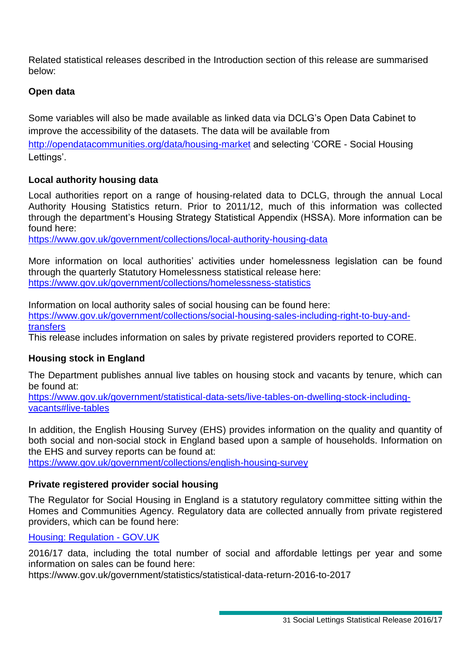Related statistical releases described in the Introduction section of this release are summarised below:

#### **Open data**

Some variables will also be made available as linked data via DCLG's Open Data Cabinet to improve the accessibility of the datasets. The data will be available from <http://opendatacommunities.org/data/housing-market> and selecting 'CORE - Social Housing Lettings'.

#### **Local authority housing data**

Local authorities report on a range of housing-related data to DCLG, through the annual Local Authority Housing Statistics return. Prior to 2011/12, much of this information was collected through the department's Housing Strategy Statistical Appendix (HSSA). More information can be found here:

[https://www.gov.uk/government/collections/local-authority-housing-data](https://www.gov.uk/government/organisations/department-for-communities-and-local-government/series/local-authority-housing-data)

More information on local authorities' activities under homelessness legislation can be found through the quarterly Statutory Homelessness statistical release here: [https://www.gov.uk/government/collections/homelessness-statistics](https://www.gov.uk/government/organisations/department-for-communities-and-local-government/series/homelessness-statistics)

Information on local authority sales of social housing can be found here: [https://www.gov.uk/government/collections/social-housing-sales-including-right-to-buy-and](https://www.gov.uk/government/organisations/department-for-communities-and-local-government/series/social-housing-sales-including-right-to-buy-and-transfers)[transfers](https://www.gov.uk/government/organisations/department-for-communities-and-local-government/series/social-housing-sales-including-right-to-buy-and-transfers)

This release includes information on sales by private registered providers reported to CORE.

#### **Housing stock in England**

The Department publishes annual live tables on housing stock and vacants by tenure, which can be found at:

[https://www.gov.uk/government/statistical-data-sets/live-tables-on-dwelling-stock-including](https://www.gov.uk/government/statistical-data-sets/live-tables-on-dwelling-stock-including-vacants#live-tables)[vacants#live-tables](https://www.gov.uk/government/statistical-data-sets/live-tables-on-dwelling-stock-including-vacants#live-tables)

In addition, the English Housing Survey (EHS) provides information on the quality and quantity of both social and non-social stock in England based upon a sample of households. Information on the EHS and survey reports can be found at:

[https://www.gov.uk/government/collections/english-housing-survey](https://www.gov.uk/government/organisations/department-for-communities-and-local-government/series/english-housing-survey)

#### **Private registered provider social housing**

The Regulator for Social Housing in England is a statutory regulatory committee sitting within the Homes and Communities Agency. Regulatory data are collected annually from private registered providers, which can be found here:

#### [Housing: Regulation -](https://www.gov.uk/housing/regulation) GOV.UK

2016/17 data, including the total number of social and affordable lettings per year and some information on sales can be found here:

https://www.gov.uk/government/statistics/statistical-data-return-2016-to-2017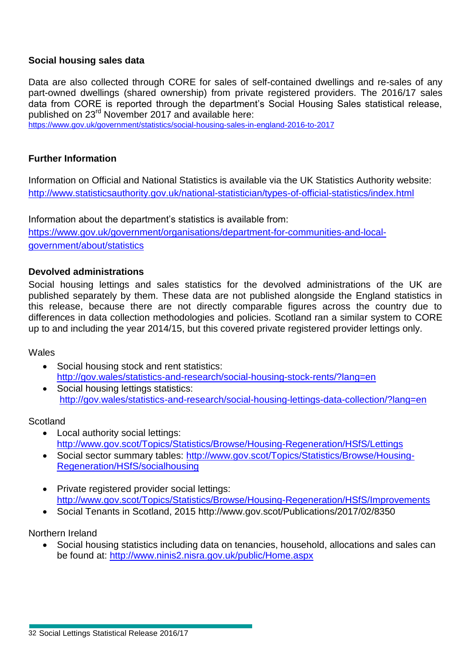#### **Social housing sales data**

Data are also collected through CORE for sales of self-contained dwellings and re-sales of any part-owned dwellings (shared ownership) from private registered providers. The 2016/17 sales data from CORE is reported through the department's Social Housing Sales statistical release, published on 23<sup>rd</sup> November 2017 and available here:

<https://www.gov.uk/government/statistics/social-housing-sales-in-england-2016-to-2017>

#### **Further Information**

Information on Official and National Statistics is available via the UK Statistics Authority website: <http://www.statisticsauthority.gov.uk/national-statistician/types-of-official-statistics/index.html>

Information about the department's statistics is available from:

[https://www.gov.uk/government/organisations/department-for-communities-and-local](http://www.gov.uk/government/organisations/department-for-communities-and-local-government/about/statistics)[government/about/statistics](http://www.gov.uk/government/organisations/department-for-communities-and-local-government/about/statistics)

#### **Devolved administrations**

Social housing lettings and sales statistics for the devolved administrations of the UK are published separately by them. These data are not published alongside the England statistics in this release, because there are not directly comparable figures across the country due to differences in data collection methodologies and policies. Scotland ran a similar system to CORE up to and including the year 2014/15, but this covered private registered provider lettings only.

#### **Wales**

- Social housing stock and rent statistics: <http://gov.wales/statistics-and-research/social-housing-stock-rents/?lang=en>
- Social housing lettings statistics: <http://gov.wales/statistics-and-research/social-housing-lettings-data-collection/?lang=en>

#### **Scotland**

- Local authority social lettings: <http://www.gov.scot/Topics/Statistics/Browse/Housing-Regeneration/HSfS/Lettings>
- Social sector summary tables: [http://www.gov.scot/Topics/Statistics/Browse/Housing-](http://www.gov.scot/Topics/Statistics/Browse/Housing-Regeneration/HSfS/socialhousing)[Regeneration/HSfS/socialhousing](http://www.gov.scot/Topics/Statistics/Browse/Housing-Regeneration/HSfS/socialhousing)
- Private registered provider social lettings: <http://www.gov.scot/Topics/Statistics/Browse/Housing-Regeneration/HSfS/Improvements>
- Social Tenants in Scotland, 2015 http://www.gov.scot/Publications/2017/02/8350

Northern Ireland

 Social housing statistics including data on tenancies, household, allocations and sales can be found at:<http://www.ninis2.nisra.gov.uk/public/Home.aspx>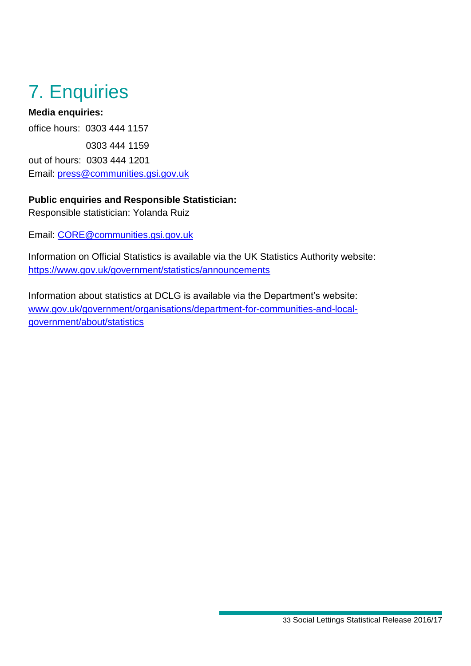## 7. Enquiries

### **Media enquiries:**

office hours: 0303 444 1157 0303 444 1159 out of hours: 0303 444 1201 Email: [press@communities.gsi.gov.uk](mailto:press@communities.gov.uk)

### **Public enquiries and Responsible Statistician:**

Responsible statistician: Yolanda Ruiz

Email: [CORE@communities.gsi.gov.uk](mailto:CORE@communities.gsi.gov.uk)

Information on Official Statistics is available via the UK Statistics Authority website: <https://www.gov.uk/government/statistics/announcements>

Information about statistics at DCLG is available via the Department's website: [www.gov.uk/government/organisations/department-for-communities-and-local](http://www.gov.uk/government/organisations/department-for-communities-and-local-government/about/statistics)[government/about/statistics](http://www.gov.uk/government/organisations/department-for-communities-and-local-government/about/statistics)